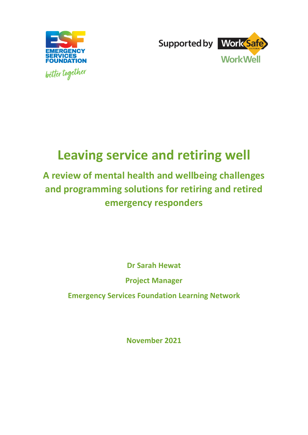



## **Leaving service and retiring well**

## **A review of mental health and wellbeing challenges and programming solutions for retiring and retired emergency responders**

**Dr Sarah Hewat** 

**Project Manager** 

**Emergency Services Foundation Learning Network** 

**November 2021**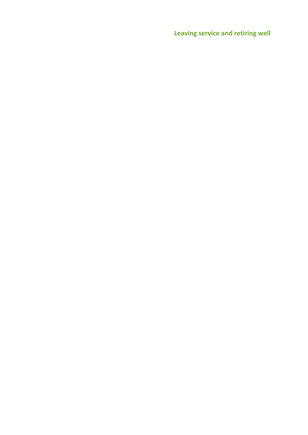**Leaving service and retiring well**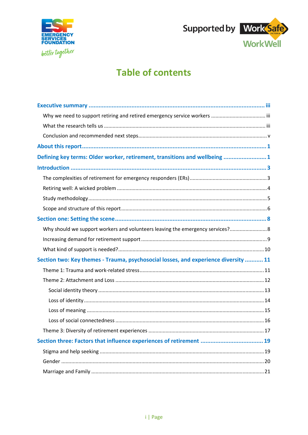



### **Table of contents**

| Defining key terms: Older worker, retirement, transitions and wellbeing  1          |
|-------------------------------------------------------------------------------------|
|                                                                                     |
|                                                                                     |
|                                                                                     |
|                                                                                     |
|                                                                                     |
|                                                                                     |
| Why should we support workers and volunteers leaving the emergency services? 8      |
|                                                                                     |
|                                                                                     |
| Section two: Key themes - Trauma, psychosocial losses, and experience diversity  11 |
|                                                                                     |
|                                                                                     |
|                                                                                     |
|                                                                                     |
|                                                                                     |
|                                                                                     |
|                                                                                     |
|                                                                                     |
|                                                                                     |
|                                                                                     |
|                                                                                     |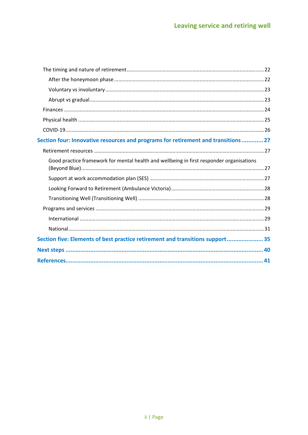| Section four: Innovative resources and programs for retirement and transitions  27       |  |
|------------------------------------------------------------------------------------------|--|
|                                                                                          |  |
| Good practice framework for mental health and wellbeing in first responder organisations |  |
|                                                                                          |  |
|                                                                                          |  |
|                                                                                          |  |
|                                                                                          |  |
|                                                                                          |  |
|                                                                                          |  |
|                                                                                          |  |
| Section five: Elements of best practice retirement and transitions support 35            |  |
|                                                                                          |  |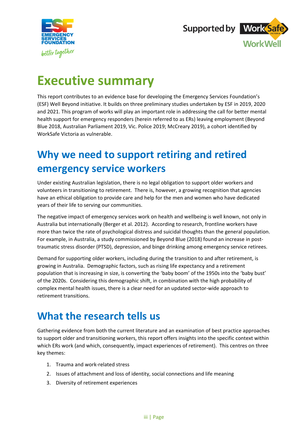

Supported by Work Safe



## **Executive summary**

This report contributes to an evidence base for developing the Emergency Services Foundation's (ESF) Well Beyond initiative. It builds on three preliminary studies undertaken by ESF in 2019, 2020 and 2021. This program of works will play an important role in addressing the call for better mental health support for emergency responders (herein referred to as ERs) leaving employment (Beyond Blue 2018, Australian Parliament 2019, Vic. Police 2019; McCreary 2019), a cohort identified by WorkSafe Victoria as vulnerable.

## **Why we need to support retiring and retired emergency service workers**

Under existing Australian legislation, there is no legal obligation to support older workers and volunteers in transitioning to retirement. There is, however, a growing recognition that agencies have an ethical obligation to provide care and help for the men and women who have dedicated years of their life to serving our communities.

The negative impact of emergency services work on health and wellbeing is well known, not only in Australia but internationally (Berger et al. 2012). According to research, frontline workers have more than twice the rate of psychological distress and suicidal thoughts than the general population. For example, in Australia, a study commissioned by Beyond Blue (2018) found an increase in posttraumatic stress disorder (PTSD), depression, and binge drinking among emergency service retirees.

Demand for supporting older workers, including during the transition to and after retirement, is growing in Australia. Demographic factors, such as rising life expectancy and a retirement population that is increasing in size, is converting the 'baby boom' of the 1950s into the 'baby bust' of the 2020s. Considering this demographic shift, in combination with the high probability of complex mental health issues, there is a clear need for an updated sector-wide approach to retirement transitions.

## **What the research tells us**

Gathering evidence from both the current literature and an examination of best practice approaches to support older and transitioning workers, this report offers insights into the specific context within which ERs work (and which, consequently, impact experiences of retirement). This centres on three key themes:

- 1. Trauma and work‐related stress
- 2. Issues of attachment and loss of identity, social connections and life meaning
- 3. Diversity of retirement experiences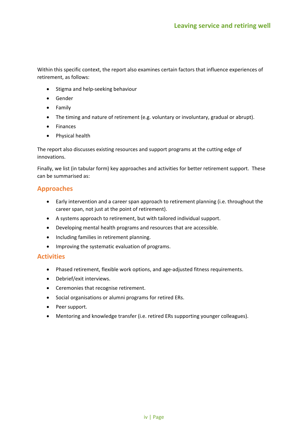Within this specific context, the report also examines certain factors that influence experiences of retirement, as follows:

- Stigma and help-seeking behaviour
- Gender
- **•** Family
- The timing and nature of retirement (e.g. voluntary or involuntary, gradual or abrupt).
- Finances
- Physical health

The report also discusses existing resources and support programs at the cutting edge of innovations.

Finally, we list (in tabular form) key approaches and activities for better retirement support. These can be summarised as:

#### **Approaches**

- Early intervention and a career span approach to retirement planning (i.e. throughout the career span, not just at the point of retirement).
- A systems approach to retirement, but with tailored individual support.
- Developing mental health programs and resources that are accessible.
- Including families in retirement planning.
- Improving the systematic evaluation of programs.

#### **Activities**

- Phased retirement, flexible work options, and age-adjusted fitness requirements.
- Debrief/exit interviews.
- Ceremonies that recognise retirement.
- Social organisations or alumni programs for retired ERs.
- Peer support.
- Mentoring and knowledge transfer (i.e. retired ERs supporting younger colleagues).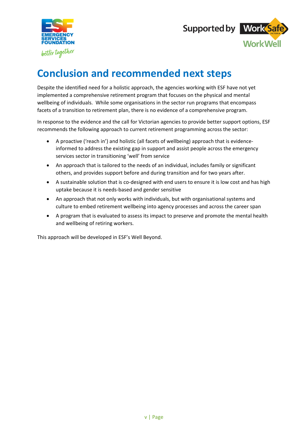

Supported by Work Safe



## **Conclusion and recommended next steps**

Despite the identified need for a holistic approach, the agencies working with ESF have not yet implemented a comprehensive retirement program that focuses on the physical and mental wellbeing of individuals. While some organisations in the sector run programs that encompass facets of a transition to retirement plan, there is no evidence of a comprehensive program.

In response to the evidence and the call for Victorian agencies to provide better support options, ESF recommends the following approach to current retirement programming across the sector:

- A proactive ('reach in') and holistic (all facets of wellbeing) approach that is evidence‐ informed to address the existing gap in support and assist people across the emergency services sector in transitioning 'well' from service
- An approach that is tailored to the needs of an individual, includes family or significant others, and provides support before and during transition and for two years after.
- A sustainable solution that is co-designed with end users to ensure it is low cost and has high uptake because it is needs‐based and gender sensitive
- An approach that not only works with individuals, but with organisational systems and culture to embed retirement wellbeing into agency processes and across the career span
- A program that is evaluated to assess its impact to preserve and promote the mental health and wellbeing of retiring workers.

This approach will be developed in ESF's Well Beyond.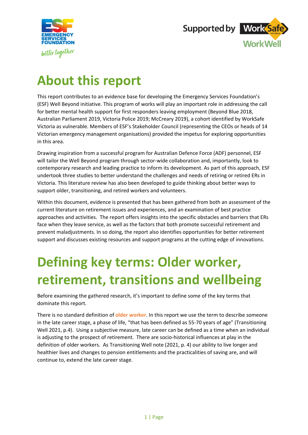

Supported by Work Safe

# **WorkWell**

## **About this report**

This report contributes to an evidence base for developing the Emergency Services Foundation's (ESF) Well Beyond initiative. This program of works will play an important role in addressing the call for better mental health support for first responders leaving employment (Beyond Blue 2018, Australian Parliament 2019, Victoria Police 2019; McCreary 2019), a cohort identified by WorkSafe Victoria as vulnerable. Members of ESF's Stakeholder Council (representing the CEOs or heads of 14 Victorian emergency management organisations) provided the impetus for exploring opportunities in this area.

Drawing inspiration from a successful program for Australian Defence Force (ADF) personnel, ESF will tailor the Well Beyond program through sector-wide collaboration and, importantly, look to contemporary research and leading practice to inform its development. As part of this approach, ESF undertook three studies to better understand the challenges and needs of retiring or retired ERs in Victoria. This literature review has also been developed to guide thinking about better ways to support older, transitioning, and retired workers and volunteers.

Within this document, evidence is presented that has been gathered from both an assessment of the current literature on retirement issues and experiences, and an examination of best practice approaches and activities. The report offers insights into the specific obstacles and barriers that ERs face when they leave service, as well as the factors that both promote successful retirement and prevent maladjustments. In so doing, the report also identifies opportunities for better retirement support and discusses existing resources and support programs at the cutting edge of innovations.

## **Defining key terms: Older worker, retirement, transitions and wellbeing**

Before examining the gathered research, it's important to define some of the key terms that dominate this report.

There is no standard definition of **older worker**. In this report we use the term to describe someone in the late career stage, a phase of life, "that has been defined as 55‐70 years of age" (Transitioning Well 2021, p.4). Using a subjective measure, late career can be defined as a time when an individual is adjusting to the prospect of retirement. There are socio-historical influences at play in the definition of older workers. As Transitioning Well note (2021, p. 4) our ability to live longer and healthier lives and changes to pension entitlements and the practicalities of saving are, and will continue to, extend the late career stage.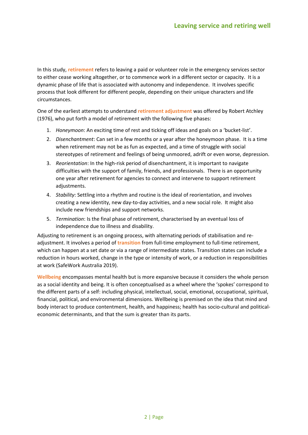In this study, **retirement** refers to leaving a paid or volunteer role in the emergency services sector to either cease working altogether, or to commence work in a different sector or capacity. It is a dynamic phase of life that is associated with autonomy and independence. It involves specific process that look different for different people, depending on their unique characters and life circumstances.

One of the earliest attempts to understand **retirement adjustment** was offered by Robert Atchley (1976), who put forth a model of retirement with the following five phases:

- 1. *Honeymoon*: An exciting time of rest and ticking off ideas and goals on a 'bucket‐list'.
- 2. *Disenchantment*: Can set in a few months or a year after the honeymoon phase. It is a time when retirement may not be as fun as expected, and a time of struggle with social stereotypes of retirement and feelings of being unmoored, adrift or even worse, depression.
- 3. *Reorientation*: In the high-risk period of disenchantment, it is important to navigate difficulties with the support of family, friends, and professionals. There is an opportunity one year after retirement for agencies to connect and intervene to support retirement adjustments.
- 4. *Stability*: Settling into a rhythm and routine is the ideal of reorientation, and involves creating a new identity, new day‐to‐day activities, and a new social role. It might also include new friendships and support networks.
- 5. *Termination*: Is the final phase of retirement, characterised by an eventual loss of independence due to illness and disability.

Adjusting to retirement is an ongoing process, with alternating periods of stabilisation and re‐ adjustment. It involves a period of **transition** from full‐time employment to full‐time retirement, which can happen at a set date or via a range of intermediate states. Transition states can include a reduction in hours worked, change in the type or intensity of work, or a reduction in responsibilities at work (SafeWork Australia 2019).

**Wellbeing** encompasses mental health but is more expansive because it considers the whole person as a social identity and being. It is often conceptualised as a wheel where the 'spokes' correspond to the different parts of a self: including physical, intellectual, social, emotional, occupational, spiritual, financial, political, and environmental dimensions. Wellbeing is premised on the idea that mind and body interact to produce contentment, health, and happiness; health has socio-cultural and politicaleconomic determinants, and that the sum is greater than its parts.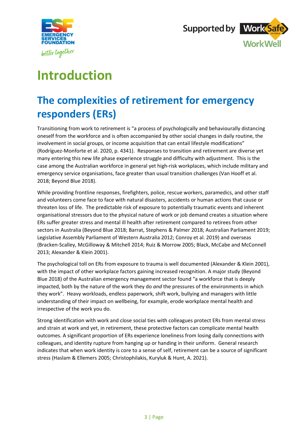

Supported by Work Safe



## **Introduction**

## **The complexities of retirement for emergency responders (ERs)**

Transitioning from work to retirement is "a process of psychologically and behaviourally distancing oneself from the workforce and is often accompanied by other social changes in daily routine, the involvement in social groups, or income acquisition that can entail lifestyle modifications" (Rodríguez‐Monforte et al. 2020, p. 4341). Responses to transition and retirement are diverse yet many entering this new life phase experience struggle and difficulty with adjustment. This is the case among the Australian workforce in general yet high-risk workplaces, which include military and emergency service organisations, face greater than usual transition challenges (Van Hooff et al. 2018; Beyond Blue 2018).

While providing frontline responses, firefighters, police, rescue workers, paramedics, and other staff and volunteers come face to face with natural disasters, accidents or human actions that cause or threaten loss of life. The predictable risk of exposure to potentially traumatic events and inherent organisational stressors due to the physical nature of work or job demand creates a situation where ERs suffer greater stress and mental ill health after retirement compared to retirees from other sectors in Australia (Beyond Blue 2018; Barrat, Stephens & Palmer 2018; Australian Parliament 2019; Legislative Assembly Parliament of Western Australia 2012; Conroy et al. 2019) and overseas (Bracken‐Scalley, McGilloway & Mitchell 2014; Ruiz & Morrow 2005; Black, McCabe and McConnell 2013; Alexander & Klein 2001).

The psychological toll on ERs from exposure to trauma is well documented (Alexander & Klein 2001), with the impact of other workplace factors gaining increased recognition. A major study (Beyond Blue 2018) of the Australian emergency management sector found "a workforce that is deeply impacted, both by the nature of the work they do *and* the pressures of the environments in which they work". Heavy workloads, endless paperwork, shift work, bullying and managers with little understanding of their impact on wellbeing, for example, erode workplace mental health and irrespective of the work you do.

Strong identification with work and close social ties with colleagues protect ERs from mental stress and strain at work and yet, in retirement, these protective factors can complicate mental health outcomes. A significant proportion of ERs experience loneliness from losing daily connections with colleagues, and identity rupture from hanging up or handing in their uniform. General research indicates that when work identity is core to a sense of self, retirement can be a source of significant stress (Haslam & Ellemers 2005; Christophilakis, Kuryluk & Hunt, A. 2021).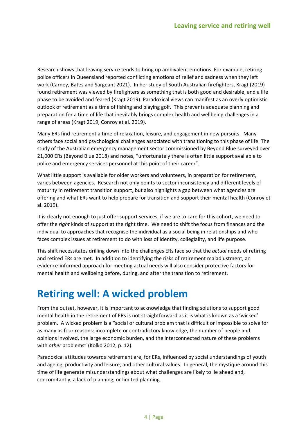Research shows that leaving service tends to bring up ambivalent emotions. For example, retiring police officers in Queensland reported conflicting emotions of relief and sadness when they left work (Carney, Bates and Sargeant 2021). In her study of South Australian firefighters, Kragt (2019) found retirement was viewed by firefighters as something that is both good and desirable, and a life phase to be avoided and feared (Kragt 2019). Paradoxical views can manifest as an overly optimistic outlook of retirement as a time of fishing and playing golf. This prevents adequate planning and preparation for a time of life that inevitably brings complex health and wellbeing challenges in a range of areas (Kragt 2019, Conroy et al. 2019).

Many ERs find retirement a time of relaxation, leisure, and engagement in new pursuits. Many others face social and psychological challenges associated with transitioning to this phase of life. The study of the Australian emergency management sector commissioned by Beyond Blue surveyed over 21,000 ERs (Beyond Blue 2018) and notes, "unfortunately there is often little support available to police and emergency services personnel at this point of their career".

What little support is available for older workers and volunteers, in preparation for retirement, varies between agencies. Research not only points to sector inconsistency and different levels of maturity in retirement transition support, but also highlights a gap between what agencies are offering and what ERs want to help prepare for transition and support their mental health (Conroy et al. 2019).

It is clearly not enough to just offer support services, if we are to care for this cohort, we need to offer the *right* kinds of support at the right time. We need to shift the focus from finances and the individual to approaches that recognise the individual as a social being in relationships and who faces complex issues at retirement to do with loss of identity, collegiality, and life purpose.

This shift necessitates drilling down into the challenges ERs face so that the *actual* needs of retiring and retired ERs are met. In addition to identifying the risks of retirement maladjustment, an evidence‐informed approach for meeting actual needs will also consider protective factors for mental health and wellbeing before, during, and after the transition to retirement.

### **Retiring well: A wicked problem**

From the outset, however, it is important to acknowledge that finding solutions to support good mental health in the retirement of ERs is not straightforward as it is what is known as a 'wicked' problem. A wicked problem is a "social or cultural problem that is difficult or impossible to solve for as many as four reasons: incomplete or contradictory knowledge, the number of people and opinions involved, the large economic burden, and the interconnected nature of these problems with *other* problems" (Kolko 2012, p. 12).

Paradoxical attitudes towards retirement are, for ERs, influenced by social understandings of youth and ageing, productivity and leisure, and other cultural values. In general, the mystique around this time of life generate misunderstandings about what challenges are likely to lie ahead and, concomitantly, a lack of planning, or limited planning.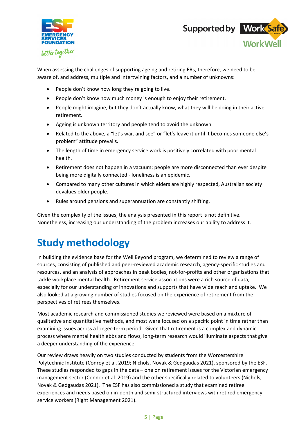



When assessing the challenges of supporting ageing and retiring ERs, therefore, we need to be aware of, and address, multiple and intertwining factors, and a number of unknowns:

- People don't know how long they're going to live.
- People don't know how much money is enough to enjoy their retirement.
- People might imagine, but they don't actually know, what they will be doing in their active retirement.
- Ageing is unknown territory and people tend to avoid the unknown.
- Related to the above, a "let's wait and see" or "let's leave it until it becomes someone else's problem" attitude prevails.
- The length of time in emergency service work is positively correlated with poor mental health.
- Retirement does not happen in a vacuum; people are more disconnected than ever despite being more digitally connected ‐ loneliness is an epidemic.
- Compared to many other cultures in which elders are highly respected, Australian society devalues older people.
- Rules around pensions and superannuation are constantly shifting.

Given the complexity of the issues, the analysis presented in this report is not definitive. Nonetheless, increasing our understanding of the problem increases our ability to address it.

## **Study methodology**

In building the evidence base for the Well Beyond program, we determined to review a range of sources, consisting of published and peer-reviewed academic research, agency-specific studies and resources, and an analysis of approaches in peak bodies, not‐for‐profits and other organisations that tackle workplace mental health. Retirement service associations were a rich source of data, especially for our understanding of innovations and supports that have wide reach and uptake. We also looked at a growing number of studies focused on the experience of retirement from the perspectives of retirees themselves.

Most academic research and commissioned studies we reviewed were based on a mixture of qualitative and quantitative methods, and most were focused on a specific point in time rather than examining issues across a longer‐term period. Given that retirement is a complex and dynamic process where mental health ebbs and flows, long‐term research would illuminate aspects that give a deeper understanding of the experience.

Our review draws heavily on two studies conducted by students from the Worcestershire Polytechnic Institute (Conroy et al. 2019; Nichols, Novak & Gedgaudas 2021), sponsored by the ESF. These studies responded to gaps in the data – one on retirement issues for the Victorian emergency management sector (Connor et al. 2019) and the other specifically related to volunteers (Nichols, Novak & Gedgaudas 2021). The ESF has also commissioned a study that examined retiree experiences and needs based on in-depth and semi-structured interviews with retired emergency service workers (Right Management 2021).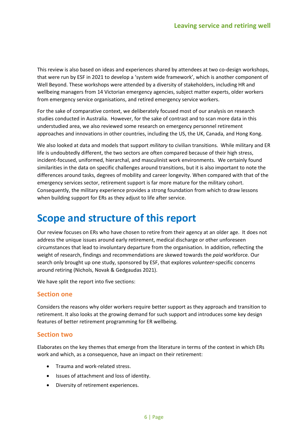This review is also based on ideas and experiences shared by attendees at two co-design workshops, that were run by ESF in 2021 to develop a 'system wide framework', which is another component of Well Beyond. These workshops were attended by a diversity of stakeholders, including HR and wellbeing managers from 14 Victorian emergency agencies, subject matter experts, older workers from emergency service organisations, and retired emergency service workers.

For the sake of comparative context, we deliberately focused most of our analysis on research studies conducted in Australia. However, for the sake of contrast and to scan more data in this understudied area, we also reviewed some research on emergency personnel retirement approaches and innovations in other countries, including the US, the UK, Canada, and Hong Kong.

We also looked at data and models that support *military* to civilian transitions. While military and ER life is undoubtedly different, the two sectors are often compared because of their high stress, incident‐focused, uniformed, hierarchal, and masculinist work environments. We certainly found similarities in the data on specific challenges around transitions, but it is also important to note the differences around tasks, degrees of mobility and career longevity. When compared with that of the emergency services sector, retirement support is far more mature for the military cohort. Consequently, the military experience provides a strong foundation from which to draw lessons when building support for ERs as they adjust to life after service.

## **Scope and structure of this report**

Our review focuses on ERs who have chosen to retire from their agency at an older age. It does not address the unique issues around early retirement, medical discharge or other unforeseen circumstances that lead to involuntary departure from the organisation. In addition, reflecting the weight of research, findings and recommendations are skewed towards the *paid* workforce. Our search only brought up one study, sponsored by ESF, that explores *volunteer*‐specific concerns around retiring (Nichols, Novak & Gedgaudas 2021).

We have split the report into five sections:

#### **Section one**

Considers the reasons why older workers require better support as they approach and transition to retirement. It also looks at the growing demand for such support and introduces some key design features of better retirement programming for ER wellbeing.

#### **Section two**

Elaborates on the key themes that emerge from the literature in terms of the context in which ERs work and which, as a consequence, have an impact on their retirement:

- Trauma and work-related stress.
- Issues of attachment and loss of identity.
- Diversity of retirement experiences.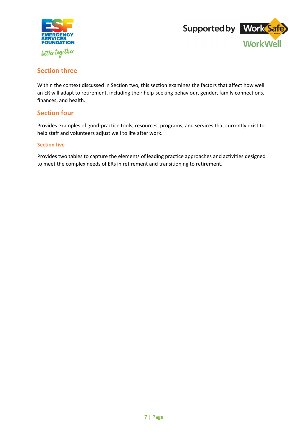



#### **Section three**

Within the context discussed in Section two, this section examines the factors that affect how well an ER will adapt to retirement, including their help-seeking behaviour, gender, family connections, finances, and health.

#### **Section four**

Provides examples of good‐practice tools, resources, programs, and services that currently exist to help staff and volunteers adjust well to life after work.

#### **Section five**

Provides two tables to capture the elements of leading practice approaches and activities designed to meet the complex needs of ERs in retirement and transitioning to retirement.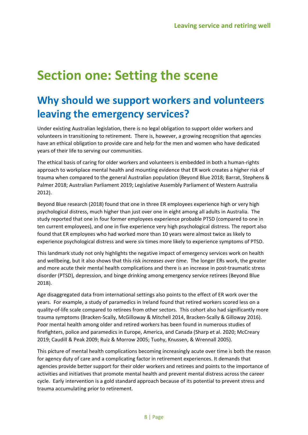## **Section one: Setting the scene**

## **Why should we support workers and volunteers leaving the emergency services?**

Under existing Australian legislation, there is no legal obligation to support older workers and volunteers in transitioning to retirement. There is, however, a growing recognition that agencies have an ethical obligation to provide care and help for the men and women who have dedicated years of their life to serving our communities.

The ethical basis of caring for older workers and volunteers is embedded in both a human-rights approach to workplace mental health and mounting evidence that ER work creates a higher risk of trauma when compared to the general Australian population (Beyond Blue 2018; Barrat, Stephens & Palmer 2018; Australian Parliament 2019; Legislative Assembly Parliament of Western Australia 2012).

Beyond Blue research (2018) found that one in three ER employees experience high or very high psychological distress, much higher than just over one in eight among all adults in Australia. The study reported that one in four former employees experience probable PTSD (compared to one in ten current employees), and one in five experience very high psychological distress. The report also found that ER employees who had worked more than 10 years were almost twice as likely to experience psychological distress and were six times more likely to experience symptoms of PTSD.

This landmark study not only highlights the negative impact of emergency services work on health and wellbeing, but it also shows that this risk *increases over time*. The longer ERs work, the greater and more acute their mental health complications and there is an increase in post-traumatic stress disorder (PTSD), depression, and binge drinking among emergency service retirees (Beyond Blue 2018).

Age disaggregated data from international settings also points to the effect of ER work over the years. For example, a study of paramedics in Ireland found that retired workers scored less on a quality‐of‐life scale compared to retirees from other sectors. This cohort also had significantly more trauma symptoms (Bracken‐Scally, McGilloway & Mitchell 2014, Bracken‐Scally & Gilloway 2016). Poor mental health among older and retired workers has been found in numerous studies of firefighters, police and paramedics in Europe, America, and Canada (Sharp et al. 2020; McCreary 2019; Caudill & Peak 2009; Ruiz & Morrow 2005; Tuohy, Knussen, & Wrennall 2005).

This picture of mental health complications becoming increasingly acute over time is both the reason for agency duty of care and a complicating factor in retirement experiences. It demands that agencies provide better support for their older workers and retirees and points to the importance of activities and initiatives that promote mental health and prevent mental distress across the career cycle. Early intervention is a gold standard approach because of its potential to prevent stress and trauma accumulating prior to retirement.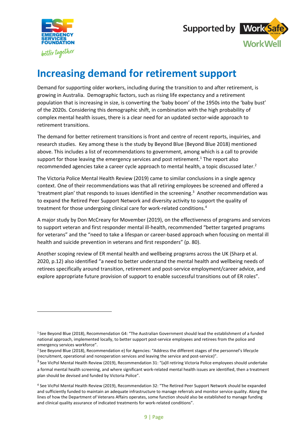

Supported by Work Safe



## **Increasing demand for retirement support**

Demand for supporting older workers, including during the transition to and after retirement, is growing in Australia. Demographic factors, such as rising life expectancy and a retirement population that is increasing in size, is converting the 'baby boom' of the 1950s into the 'baby bust' of the 2020s. Considering this demographic shift, in combination with the high probability of complex mental health issues, there is a clear need for an updated sector‐wide approach to retirement transitions.

The demand for better retirement transitions is front and centre of recent reports, inquiries, and research studies. Key among these is the study by Beyond Blue (Beyond Blue 2018) mentioned above. This includes a list of recommendations to government, among which is a call to provide support for those leaving the emergency services and post retirement.<sup>1</sup> The report also recommended agencies take a career cycle approach to mental health, a topic discussed later.<sup>2</sup>

The Victoria Police Mental Health Review (2019) came to similar conclusions in a single agency context. One of their recommendations was that all retiring employees be screened and offered a 'treatment plan' that responds to issues identified in the screening.<sup>3</sup> Another recommendation was to expand the Retired Peer Support Network and diversity activity to support the quality of treatment for those undergoing clinical care for work-related conditions.<sup>4</sup>

A major study by Don McCreary for Movember (2019), on the effectiveness of programs and services to support veteran and first responder mental ill-health, recommended "better targeted programs for veterans" and the "need to take a lifespan or career-based approach when focusing on mental ill health and suicide prevention in veterans and first responders" (p. 80).

Another scoping review of ER mental health and wellbeing programs across the UK (Sharp et al. 2020, p.12) also identified "a need to better understand the mental health and wellbeing needs of retirees specifically around transition, retirement and post‐service employment/career advice, and explore appropriate future provision of support to enable successful transitions out of ER roles".

 $1$  See Beyond Blue (2018), Recommendation G4: "The Australian Government should lead the establishment of a funded national approach, implemented locally, to better support post‐service employees and retirees from the police and emergency services workforce".

<sup>&</sup>lt;sup>2</sup> See Beyond Blue (2018), Recommendation e) for Agencies: "Address the different stages of the personnel's lifecycle (recruitment, operational and nonoperation services and leaving the service and post‐service)".

<sup>&</sup>lt;sup>3</sup> See VicPol Mental Health Review (2019), Recommendation 31: "(a)Il retiring Victoria Police employees should undertake a formal mental health screening, and where significant work‐related mental health issues are identified, then a treatment plan should be devised and funded by Victoria Police".

<sup>4</sup> See VicPol Mental Health Review (2019), Recommendation 32: "The Retired Peer Support Network should be expanded and sufficiently funded to maintain an adequate infrastructure to manage referrals and monitor service quality. Along the lines of how the Department of Veterans Affairs operates, some function should also be established to manage funding and clinical quality assurance of indicated treatments for work‐related conditions".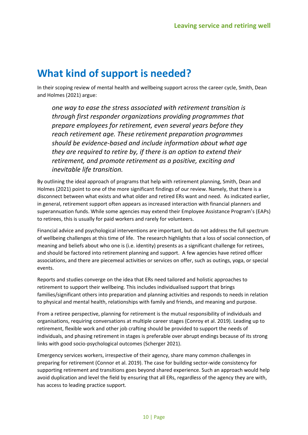### **What kind of support is needed?**

In their scoping review of mental health and wellbeing support across the career cycle, Smith, Dean and Holmes (2021) argue:

*one way to ease the stress associated with retirement transition is through first responder organizations providing programmes that prepare employees for retirement, even several years before they reach retirement age. These retirement preparation programmes should be evidence‐based and include information about what age they are required to retire by, if there is an option to extend their retirement, and promote retirement as a positive, exciting and inevitable life transition.* 

By outlining the ideal approach of programs that help with retirement planning, Smith, Dean and Holmes (2021) point to one of the more significant findings of our review. Namely, that there is a disconnect between what exists and what older and retired ERs want and need. As indicated earlier, in general, retirement support often appears as increased interaction with financial planners and superannuation funds. While some agencies may extend their Employee Assistance Program's (EAPs) to retirees, this is usually for paid workers and rarely for volunteers.

Financial advice and psychological interventions are important, but do not address the full spectrum of wellbeing challenges at this time of life. The research highlights that a loss of social connection, of meaning and beliefs about who one is (i.e. identity) presents as a significant challenge for retirees, and should be factored into retirement planning and support. A few agencies have retired officer associations, and there are piecemeal activities or services on offer, such as outings, yoga, or special events.

Reports and studies converge on the idea that ERs need tailored and holistic approaches to retirement to support their wellbeing. This includes individualised support that brings families/significant others into preparation and planning activities and responds to needs in relation to physical and mental health, relationships with family and friends, and meaning and purpose.

From a retiree perspective, planning for retirement is the mutual responsibility of individuals and organisations, requiring conversations at multiple career stages (Conroy et al. 2019). Leading up to retirement, flexible work and other job crafting should be provided to support the needs of individuals, and phasing retirement in stages is preferable over abrupt endings because of its strong links with good socio‐psychological outcomes (Scherger 2021).

Emergency services workers, irrespective of their agency, share many common challenges in preparing for retirement (Connor et al. 2019). The case for building sector‐wide consistency for supporting retirement and transitions goes beyond shared experience. Such an approach would help avoid duplication and level the field by ensuring that all ERs, regardless of the agency they are with, has access to leading practice support.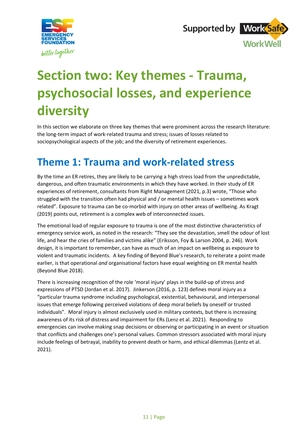Supported by Work Safe





## **Section two: Key themes ‐ Trauma, psychosocial losses, and experience diversity**

In this section we elaborate on three key themes that were prominent across the research literature: the long‐term impact of work‐related trauma and stress; issues of losses related to sociopsychological aspects of the job; and the diversity of retirement experiences.

### **Theme 1: Trauma and work‐related stress**

By the time an ER retires, they are likely to be carrying a high stress load from the unpredictable, dangerous, and often traumatic environments in which they have worked. In their study of ER experiences of retirement, consultants from Right Management (2021, p.3) wrote, "Those who struggled with the transition often had physical and / or mental health issues – sometimes work related". Exposure to trauma can be co-morbid with injury on other areas of wellbeing. As Kragt (2019) points out, retirement is a complex web of interconnected issues.

The emotional load of regular exposure to trauma is one of the most distinctive characteristics of emergency service work, as noted in the research: "They see the devastation, smell the odour of lost life, and hear the cries of families and victims alike" (Eriksson, Foy & Larson 2004, p. 246). Work design, it is important to remember, can have as much of an impact on wellbeing as exposure to violent and traumatic incidents. A key finding of Beyond Blue's research, to reiterate a point made earlier, is that operational *and* organisational factors have equal weighting on ER mental health (Beyond Blue 2018).

There is increasing recognition of the role 'moral injury' plays in the build‐up of stress and expressions of PTSD (Jordan et al. 2017). Jinkerson (2016, p. 123) defines moral injury as a "particular trauma syndrome including psychological, existential, behavioural, and interpersonal issues that emerge following perceived violations of deep moral beliefs by oneself or trusted individuals". Moral injury is almost exclusively used in military contexts, but there is increasing awareness of its risk of distress and impairment for ERs (Lenz et al. 2021). Responding to emergencies can involve making snap decisions or observing or participating in an event or situation that conflicts and challenges one's personal values. Common stressors associated with moral injury include feelings of betrayal, inability to prevent death or harm, and ethical dilemmas (Lentz et al. 2021).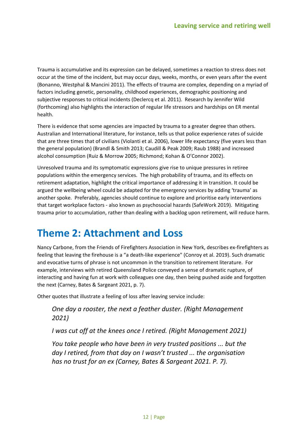Trauma is accumulative and its expression can be delayed, sometimes a reaction to stress does not occur at the time of the incident, but may occur days, weeks, months, or even years after the event (Bonanno, Westphal & Mancini 2011). The effects of trauma are complex, depending on a myriad of factors including genetic, personality, childhood experiences, demographic positioning and subjective responses to critical incidents (Declercq et al. 2011). Research by Jennifer Wild (forthcoming) also highlights the interaction of regular life stressors and hardships on ER mental health.

There is evidence that some agencies are impacted by trauma to a greater degree than others. Australian and International literature, for instance, tells us that police experience rates of suicide that are three times that of civilians (Violanti et al. 2006), lower life expectancy (five years less than the general population) (Brandl & Smith 2013; Caudill & Peak 2009; Raub 1988) and increased alcohol consumption (Ruiz & Morrow 2005; Richmond; Kohan & O'Connor 2002).

Unresolved trauma and its symptomatic expressions give rise to unique pressures in retiree populations within the emergency services. The high probability of trauma, and its effects on retirement adaptation, highlight the critical importance of addressing it in transition. It could be argued the wellbeing wheel could be adapted for the emergency services by adding 'trauma' as another spoke. Preferably, agencies should continue to explore and prioritise early interventions that target workplace factors ‐ also known as psychosocial hazards (SafeWork 2019). Mitigating trauma prior to accumulation, rather than dealing with a backlog upon retirement, will reduce harm.

### **Theme 2: Attachment and Loss**

Nancy Carbone, from the Friends of Firefighters Association in New York, describes ex‐firefighters as feeling that leaving the firehouse is a "a death-like experience" (Conroy et al. 2019). Such dramatic and evocative turns of phrase is not uncommon in the transition to retirement literature. For example, interviews with retired Queensland Police conveyed a sense of dramatic rupture, of interacting and having fun at work with colleagues one day, then being pushed aside and forgotten the next (Carney, Bates & Sargeant 2021, p. 7).

Other quotes that illustrate a feeling of loss after leaving service include:

#### *One day a rooster, the next a feather duster. (Right Management 2021)*

*I was cut off at the knees once I retired. (Right Management 2021)* 

*You take people who have been in very trusted positions ... but the day I retired, from that day on I wasn't trusted ... the organisation has no trust for an ex (Carney, Bates & Sargeant 2021. P. 7).*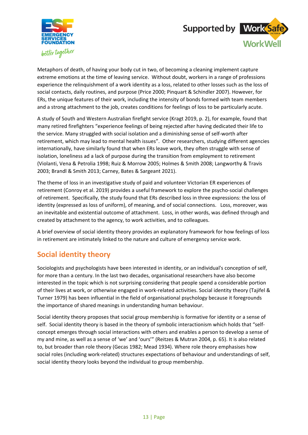



Metaphors of death, of having your body cut in two, of becoming a cleaning implement capture extreme emotions at the time of leaving service. Without doubt, workers in a range of professions experience the relinquishment of a work identity as a loss, related to other losses such as the loss of social contacts, daily routines, and purpose (Price 2000; Pinquart & Schindler 2007). However, for ERs, the unique features of their work, including the intensity of bonds formed with team members and a strong attachment to the job, creates conditions for feelings of loss to be particularly acute.

A study of South and Western Australian firefight service (Kragt 2019, p. 2), for example, found that many retired firefighters "experience feelings of being rejected after having dedicated their life to the service. Many struggled with social isolation and a diminishing sense of self‐worth after retirement, which may lead to mental health issues". Other researchers, studying different agencies internationally, have similarly found that when ERs leave work, they often struggle with sense of isolation, loneliness ad a lack of purpose during the transition from employment to retirement (Violanti, Vena & Petrolia 1998; Ruiz & Morrow 2005; Holmes & Smith 2008; Langworthy & Travis 2003; Brandl & Smith 2013; Carney, Bates & Sargeant 2021).

The theme of loss in an investigative study of paid and volunteer Victorian ER experiences of retirement (Conroy et al. 2019) provides a useful framework to explore the psycho‐social challenges of retirement. Specifically, the study found that ERs described loss in three expressions: the loss of identity (expressed as loss of uniform), of meaning, and of social connections. Loss, moreover, was an inevitable and existential outcome of attachment. Loss, in other words, was defined through and created by attachment to the agency, to work activities, and to colleagues.

A brief overview of social identity theory provides an explanatory framework for how feelings of loss in retirement are intimately linked to the nature and culture of emergency service work.

#### **Social identity theory**

Sociologists and psychologists have been interested in identity, or an individual's conception of self, for more than a century. In the last two decades, organisational researchers have also become interested in the topic which is not surprising considering that people spend a considerable portion of their lives at work, or otherwise engaged in work-related activities. Social identity theory (Tajifel & Turner 1979) has been influential in the field of organisational psychology because it foregrounds the importance of shared meanings in understanding human behaviour.

Social identity theory proposes that social group membership is formative for identity or a sense of self. Social identity theory is based in the theory of symbolic interactionism which holds that "selfconcept emerges through social interactions with others and enables a person to develop a sense of my and mine, as well as a sense of 'we' and 'ours'" (Reitzes & Mutran 2004, p. 65). It is also related to, but broader than role theory (Gecas 1982; Mead 1934). Where role theory emphasises how social roles (including work-related) structures expectations of behaviour and understandings of self, social identity theory looks beyond the individual to group membership.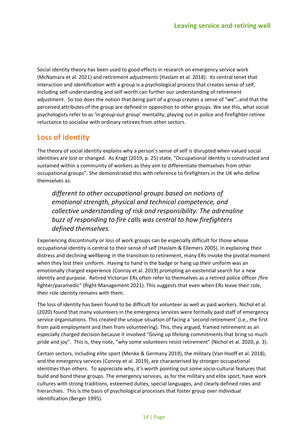Social identity theory has been used to good effects in research on emergency service work (McNamara et al. 2021) and retirement adjustments (Haslam et al. 2018). Its central tenet that interaction and identification with a group is a psychological process that creates sense of self, including self‐understanding and self‐worth can further our understanding of retirement adjustment. So too does the notion that being part of a group creates a sense of "we", and that the perceived attributes of the group are defined in opposition to other groups. We see this, what social psychologists refer to as 'in group‐out group' mentality, playing out in police and firefighter retiree reluctance to socialise with ordinary retirees from other sectors.

#### **Loss of identity**

The theory of social identity explains why a person's sense of self is disrupted when valued social identities are lost or changed. As Kragt (2019, p. 25) state, "Occupational identity is constructed and sustained within a community of workers as they aim to differentiate themselves from other occupational groups". She demonstrated this with reference to firefighters in the UK who define themselves as:

*different to other occupational groups based on notions of emotional strength, physical and technical competence, and collective understanding of risk and responsibility. The adrenaline buzz of responding to fire calls was central to how firefighters defined themselves.* 

Experiencing discontinuity or loss of work groups can be especially difficult for those whose occupational identity is central to their sense of self (Haslam & Ellemers 2005). In explaining their distress and declining wellbeing in the transition to retirement, many ERs invoke the pivotal moment when they lost their uniform. Having to hand in the badge or hang up their uniform was an emotionally charged experience (Conroy et al. 2019) prompting an existential search for a new identity and purpose. Retired Victorian ERs often refer to themselves as a retired police officer /fire fighter/paramedic" (Right Management 2021). This suggests that even when ERs leave their role, their role identity remains with them.

The loss of identity has been found to be difficult for volunteer as well as paid workers. Nichol et al. (2020) found that many volunteers in the emergency services were formally paid staff of emergency service organisations. This created the unique situation of facing a 'second retirement' (i.e., the first from paid employment and then from volunteering). This, they argued, framed retirement as an especially charged decision because it involved "Giving up lifelong commitments that bring so much pride and joy". This is, they note, "why some volunteers resist retirement" (Nichol et al. 2020, p. 3).

Certain sectors, including elite sport (Menke & Germany 2019), the military (Van Hooff et al. 2018), and the emergency services (Conroy et al. 2019), are characterised by stronger occupational identities than others. To appreciate why, it's worth pointing out some socio‐cultural features that build and bond these groups. The emergency services, as for the military and elite sport, have work cultures with strong traditions, esteemed duties, special languages, and clearly defined roles and hierarchies. This is the basis of psychological processes that foster group over individual identification (Berger 1995).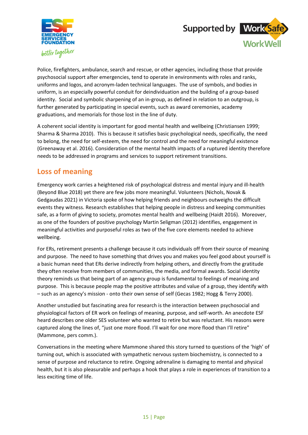



Police, firefighters, ambulance, search and rescue, or other agencies, including those that provide psychosocial support after emergencies, tend to operate in environments with roles and ranks, uniforms and logos, and acronym‐laden technical languages. The use of symbols, and bodies in uniform, is an especially powerful conduit for deindividuation and the building of a group‐based identity. Social and symbolic sharpening of an in‐group, as defined in relation to an outgroup, is further generated by participating in special events, such as award ceremonies, academy graduations, and memorials for those lost in the line of duty.

A coherent social identity is important for good mental health and wellbeing (Christiansen 1999; Sharma & Sharma 2010). This is because it satisfies basic psychological needs, specifically, the need to belong, the need for self‐esteem, the need for control and the need for meaningful existence (Greenaway et al. 2016). Consideration of the mental health impacts of a ruptured identity therefore needs to be addressed in programs and services to support retirement transitions.

#### **Loss of meaning**

Emergency work carries a heightened risk of psychological distress and mental injury and ill‐health (Beyond Blue 2018) yet there are few jobs more meaningful. Volunteers (Nichols, Novak & Gedgaudas 2021) in Victoria spoke of how helping friends and neighbours outweighs the difficult events they witness. Research establishes that helping people in distress and keeping communities safe, as a form of giving to society, promotes mental health and wellbeing (Haidt 2016). Moreover, as one of the founders of positive psychology Martin Seligman (2012) identifies, engagement in meaningful activities and purposeful roles as two of the five core elements needed to achieve wellbeing.

For ERs, retirement presents a challenge because it cuts individuals off from their source of meaning and purpose. The need to have something that drives you and makes you feel good about yourself is a basic human need that ERs derive indirectly from helping others, and directly from the gratitude they often receive from members of communities, the media, and formal awards. Social identity theory reminds us that being part of an agency group is fundamental to feelings of meaning and purpose. This is because people map the positive attributes and value of a group, they identify with – such as an agency's mission ‐ onto their own sense of self (Gecas 1982; Hogg & Terry 2000).

Another unstudied but fascinating area for research is the interaction between psychosocial and physiological factors of ER work on feelings of meaning, purpose, and self‐worth. An anecdote ESF heard describes one older SES volunteer who wanted to retire but was reluctant. His reasons were captured along the lines of, "just one more flood. I'll wait for one more flood than I'll retire" (Mammone, pers comm.).

Conversations in the meeting where Mammone shared this story turned to questions of the 'high' of turning out, which is associated with sympathetic nervous system biochemistry, is connected to a sense of purpose and reluctance to retire. Ongoing adrenaline is damaging to mental and physical health, but it is also pleasurable and perhaps a hook that plays a role in experiences of transition to a less exciting time of life.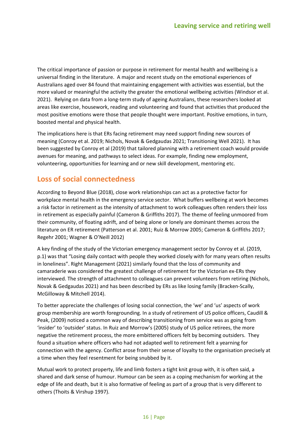The critical importance of passion or purpose in retirement for mental health and wellbeing is a universal finding in the literature. A major and recent study on the emotional experiences of Australians aged over 84 found that maintaining engagement with activities was essential, but the more valued or meaningful the activity the greater the emotional wellbeing activities (Windsor et al. 2021). Relying on data from a long‐term study of ageing Australians, these researchers looked at areas like exercise, housework, reading and volunteering and found that activities that produced the most positive emotions were those that people thought were important. Positive emotions, in turn, boosted mental and physical health.

The implications here is that ERs facing retirement may need support finding new sources of meaning (Conroy et al. 2019; Nichols, Novak & Gedgaudas 2021; Transitioning Well 2021). It has been suggested by Conroy et al (2019) that tailored planning with a retirement coach would provide avenues for meaning, and pathways to select ideas. For example, finding new employment, volunteering, opportunities for learning and or new skill development, mentoring etc.

#### **Loss of social connectedness**

According to Beyond Blue (2018), close work relationships can act as a protective factor for workplace mental health in the emergency service sector. What buffers wellbeing at work becomes a risk factor in retirement as the intensity of attachment to work colleagues often renders their loss in retirement as especially painful (Cameron & Griffiths 2017). The theme of feeling unmoored from their community, of floating adrift, and of being alone or lonely are dominant themes across the literature on ER retirement (Patterson et al. 2001; Ruiz & Morrow 2005; Cameron & Griffiths 2017; Regehr 2001; Wagner & O'Neill 2012)

A key finding of the study of the Victorian emergency management sector by Conroy et al. (2019, p.1) was that "Losing daily contact with people they worked closely with for many years often results in loneliness". Right Management (2021) similarly found that the loss of community and camaraderie was considered the greatest challenge of retirement for the Victorian ex‐ERs they interviewed. The strength of attachment to colleagues can prevent volunteers from retiring (Nichols, Novak & Gedgaudas 2021) and has been described by ERs as like losing family (Bracken‐Scally, McGilloway & Mitchell 2014).

To better appreciate the challenges of losing social connection, the 'we' and 'us' aspects of work group membership are worth foregrounding. In a study of retirement of US police officers, Caudill & Peak, (2009) noticed a common way of describing transitioning from service was as going from 'insider' to 'outsider' status. In Ruiz and Morrow's (2005) study of US police retirees, the more negative the retirement process, the more embittered officers felt by becoming outsiders. They found a situation where officers who had not adapted well to retirement felt a yearning for connection with the agency. Conflict arose from their sense of loyalty to the organisation precisely at a time when they feel resentment for being snubbed by it.

Mutual work to protect property, life and limb fosters a tight knit group with, it is often said, a shared and dark sense of humour. Humour can be seen as a coping mechanism for working at the edge of life and death, but it is also formative of feeling as part of a group that is very different to others (Thoits & Virshup 1997).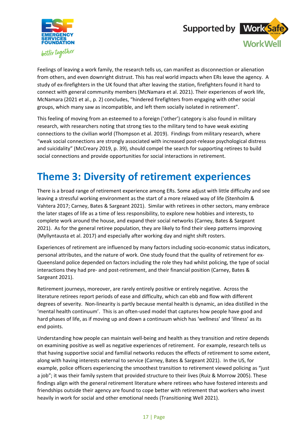



Feelings of leaving a work family, the research tells us, can manifest as disconnection or alienation from others, and even downright distrust. This has real world impacts when ERs leave the agency. A study of ex-firefighters in the UK found that after leaving the station, firefighters found it hard to connect with general community members (McNamara et al. 2021). Their experiences of work life, McNamara (2021 et al., p. 2) concludes, "hindered firefighters from engaging with other social groups, which many saw as incompatible, and left them socially isolated in retirement".

This feeling of moving from an esteemed to a foreign ('other') category is also found in military research, with researchers noting that strong ties to the military tend to have weak existing connections to the civilian world (Thompson et al. 2019). Findings from military research, where "weak social connections are strongly associated with increased post‐release psychological distress and suicidality" (McCreary 2019, p. 39), should compel the search for supporting retirees to build social connections and provide opportunities for social interactions in retirement.

## **Theme 3: Diversity of retirement experiences**

There is a broad range of retirement experience among ERs. Some adjust with little difficulty and see leaving a stressful working environment as the start of a more relaxed way of life (Stenholm & Vahtera 2017; Carney, Bates & Sargeant 2021). Similar with retirees in other sectors, many embrace the later stages of life as a time of less responsibility, to explore new hobbies and interests, to complete work around the house, and expand their social networks (Carney, Bates & Sargeant 2021). As for the general retiree population, they are likely to find their sleep patterns improving (Myllyntausta et al. 2017) and especially after working day and night shift rosters.

Experiences of retirement are influenced by many factors including socio‐economic status indicators, personal attributes, and the nature of work. One study found that the quality of retirement for ex‐ Queensland police depended on factors including the role they had whilst policing, the type of social interactions they had pre- and post-retirement, and their financial position (Carney, Bates & Sargeant 2021).

Retirement journeys, moreover, are rarely entirely positive or entirely negative. Across the literature retirees report periods of ease and difficulty, which can ebb and flow with different degrees of severity. Non‐linearity is partly because mental health is dynamic, an idea distilled in the 'mental health continuum'. This is an often‐used model that captures how people have good and hard phases of life, as if moving up and down a continuum which has 'wellness' and 'illness' as its end points.

Understanding how people can maintain well‐being and health as they transition and retire depends on examining positive as well as negative experiences of retirement. For example, research tells us that having supportive social and familial networks reduces the effects of retirement to some extent, along with having interests external to service (Carney, Bates & Sargeant 2021). In the US, for example, police officers experiencing the smoothest transition to retirement viewed policing as "just a job"; it was their family system that provided structure to their lives (Ruiz & Morrow 2005). These findings align with the general retirement literature where retirees who have fostered interests and friendships outside their agency are found to cope better with retirement that workers who invest heavily in work for social and other emotional needs (Transitioning Well 2021).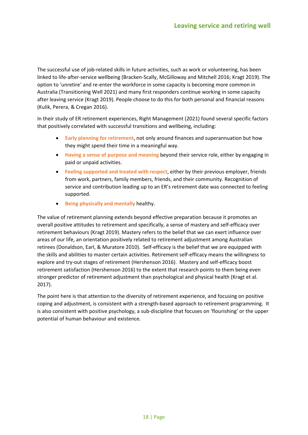The successful use of job-related skills in future activities, such as work or volunteering, has been linked to life‐after‐service wellbeing (Bracken‐Scally, McGilloway and Mitchell 2016; Kragt 2019). The option to 'unretire' and re‐enter the workforce in some capacity is becoming more common in Australia (Transitioning Well 2021) and many first responders continue working in some capacity after leaving service (Kragt 2019). People choose to do this for both personal and financial reasons (Kulik, Perera, & Cregan 2016).

In their study of ER retirement experiences, Right Management (2021) found several specific factors that positively correlated with successful transitions and wellbeing, including:

- **Early planning for retirement**, not only around finances and superannuation but how they might spend their time in a meaningful way.
- **Having a sense of purpose and meaning** beyond their service role, either by engaging in paid or unpaid activities.
- **Feeling supported and treated with respect**, either by their previous employer, friends from work, partners, family members, friends, and their community. Recognition of service and contribution leading up to an ER's retirement date was connected to feeling supported.
- **Being physically and mentally** healthy.

The value of retirement planning extends beyond effective preparation because it promotes an overall positive attitudes to retirement and specifically, a sense of mastery and self‐efficacy over retirement behaviours (Kragt 2019). Mastery refers to the belief that we can exert influence over areas of our life, an orientation positively related to retirement adjustment among Australian retirees (Donaldson, Earl, & Muratore 2010). Self‐efficacy is the belief that we are equipped with the skills and abilities to master certain activities. Retirement self‐efficacy means the willingness to explore and try‐out stages of retirement (Hershenson 2016). Mastery and self‐efficacy boost retirement satisfaction (Hershenson 2016) to the extent that research points to them being even stronger predictor of retirement adjustment than psychological and physical health (Kragt et al. 2017).

The point here is that attention to the diversity of retirement experience, and focusing on positive coping and adjustment, is consistent with a strength‐based approach to retirement programming. It is also consistent with positive psychology, a sub‐discipline that focuses on 'flourishing' or the upper potential of human behaviour and existence.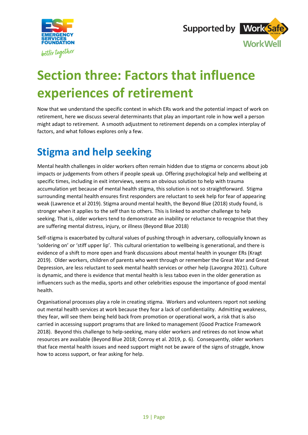Supported by Work Safe





## **Section three: Factors that influence experiences of retirement**

Now that we understand the specific context in which ERs work and the potential impact of work on retirement, here we discuss several determinants that play an important role in how well a person might adapt to retirement. A smooth adjustment to retirement depends on a complex interplay of factors, and what follows explores only a few.

## **Stigma and help seeking**

Mental health challenges in older workers often remain hidden due to stigma or concerns about job impacts or judgements from others if people speak up. Offering psychological help and wellbeing at specific times, including in exit interviews, seems an obvious solution to help with trauma accumulation yet because of mental health stigma, this solution is not so straightforward. Stigma surrounding mental health ensures first responders are reluctant to seek help for fear of appearing weak (Lawrence et al 2019). Stigma around mental health, the Beyond Blue (2018) study found, is stronger when it applies to the self than to others. This is linked to another challenge to help seeking. That is, older workers tend to demonstrate an inability or reluctance to recognise that they are suffering mental distress, injury, or illness (Beyond Blue 2018)

Self-stigma is exacerbated by cultural values of pushing through in adversary, colloquially known as 'soldering on' or 'stiff upper lip'. This cultural orientation to wellbeing is generational, and there is evidence of a shift to more open and frank discussions about mental health in younger ERs (Kragt 2019). Older workers, children of parents who went through or remember the Great War and Great Depression, are less reluctant to seek mental health services or other help (Lavorgna 2021). Culture is dynamic, and there is evidence that mental health is less taboo even in the older generation as influencers such as the media, sports and other celebrities espouse the importance of good mental health.

Organisational processes play a role in creating stigma. Workers and volunteers report not seeking out mental health services at work because they fear a lack of confidentiality. Admitting weakness, they fear, will see them being held back from promotion or operational work, a risk that is also carried in accessing support programs that are linked to management (Good Practice Framework 2018). Beyond this challenge to help‐seeking, many older workers and retirees do not know what resources are available (Beyond Blue 2018; Conroy et al. 2019, p. 6). Consequently, older workers that face mental health issues and need support might not be aware of the signs of struggle, know how to access support, or fear asking for help.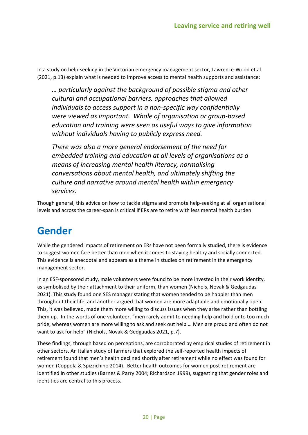In a study on help‐seeking in the Victorian emergency management sector, Lawrence‐Wood et al. (2021, p.13) explain what is needed to improve access to mental health supports and assistance:

*… particularly against the background of possible stigma and other cultural and occupational barriers, approaches that allowed individuals to access support in a non‐specific way confidentially were viewed as important. Whole of organisation or group‐based education and training were seen as useful ways to give information without individuals having to publicly express need.* 

*There was also a more general endorsement of the need for embedded training and education at all levels of organisations as a means of increasing mental health literacy, normalising conversations about mental health, and ultimately shifting the culture and narrative around mental health within emergency services.* 

Though general, this advice on how to tackle stigma and promote help‐seeking at all organisational levels and across the career‐span is critical if ERs are to retire with less mental health burden.

### **Gender**

While the gendered impacts of retirement on ERs have not been formally studied, there is evidence to suggest women fare better than men when it comes to staying healthy and socially connected. This evidence is anecdotal and appears as a theme in studies on retirement in the emergency management sector.

In an ESF‐sponsored study, male volunteers were found to be more invested in their work identity, as symbolised by their attachment to their uniform, than women (Nichols, Novak & Gedgaudas 2021). This study found one SES manager stating that women tended to be happier than men throughout their life, and another argued that women are more adaptable and emotionally open. This, it was believed, made them more willing to discuss issues when they arise rather than bottling them up. In the words of one volunteer, "men rarely admit to needing help and hold onto too much pride, whereas women are more willing to ask and seek out help … Men are proud and often do not want to ask for help" (Nichols, Novak & Gedgaudas 2021, p.7).

These findings, through based on perceptions, are corroborated by empirical studies of retirement in other sectors. An Italian study of farmers that explored the self‐reported health impacts of retirement found that men's health declined shortly after retirement while no effect was found for women (Coppola & Spizzichino 2014). Better health outcomes for women post-retirement are identified in other studies (Barnes & Parry 2004; Richardson 1999), suggesting that gender roles and identities are central to this process.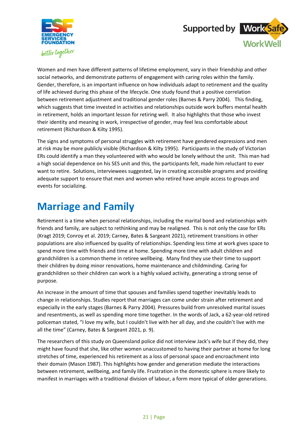



Women and men have different patterns of lifetime employment, vary in their friendship and other social networks, and demonstrate patterns of engagement with caring roles within the family. Gender, therefore, is an important influence on how individuals adapt to retirement and the quality of life achieved during this phase of the lifecycle. One study found that a positive correlation between retirement adjustment and traditional gender roles (Barnes & Parry 2004). This finding, which suggests that time invested in activities and relationships outside work buffers mental health in retirement, holds an important lesson for retiring well. It also highlights that those who invest their identity and meaning in work, irrespective of gender, may feel less comfortable about retirement (Richardson & Kilty 1995).

The signs and symptoms of personal struggles with retirement have gendered expressions and men at risk may be more publicly visible (Richardson & Kilty 1995). Participants in the study of Victorian ERs could identify a man they volunteered with who would be lonely without the unit. This man had a high social dependence on his SES unit and this, the participants felt, made him reluctant to ever want to retire. Solutions, interviewees suggested, lay in creating accessible programs and providing adequate support to ensure that men and women who retired have ample access to groups and events for socializing.

## **Marriage and Family**

Retirement is a time when personal relationships, including the marital bond and relationships with friends and family, are subject to rethinking and may be realigned. This is not only the case for ERs (Kragt 2019; Conroy et al. 2019; Carney, Bates & Sargeant 2021), retirement transitions in other populations are also influenced by quality of relationships. Spending less time at work gives space to spend more time with friends and time at home. Spending more time with adult children and grandchildren is a common theme in retiree wellbeing. Many find they use their time to support their children by doing minor renovations, home maintenance and childminding. Caring for grandchildren so their children can work is a highly valued activity, generating a strong sense of purpose.

An increase in the amount of time that spouses and families spend together inevitably leads to change in relationships. Studies report that marriages can come under strain after retirement and especially in the early stages (Barnes & Parry 2004). Pressures build from unresolved marital issues and resentments, as well as spending more time together. In the words of Jack, a 62-year-old retired policeman stated, "I love my wife, but I couldn't live with her all day, and she couldn't live with me all the time" (Carney, Bates & Sargeant 2021, p. 9).

The researchers of this study on Queensland police did not interview Jack's wife but if they did, they might have found that she, like other women unaccustomed to having their partner at home for long stretches of time, experienced his retirement as a loss of personal space and encroachment into their domain (Mason 1987). This highlights how gender and generation mediate the interactions between retirement, wellbeing, and family life. Frustration in the domestic sphere is more likely to manifest in marriages with a traditional division of labour, a form more typical of older generations.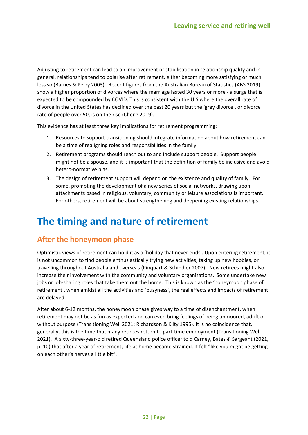Adjusting to retirement can lead to an improvement or stabilisation in relationship quality and in general, relationships tend to polarise after retirement, either becoming more satisfying or much less so (Barnes & Perry 2003). Recent figures from the Australian Bureau of Statistics (ABS 2019) show a higher proportion of divorces where the marriage lasted 30 years or more ‐ a surge that is expected to be compounded by COVID. This is consistent with the U.S where the overall rate of divorce in the United States has declined over the past 20 years but the 'grey divorce', or divorce rate of people over 50, is on the rise (Cheng 2019).

This evidence has at least three key implications for retirement programming:

- 1. Resources to support transitioning should integrate information about how retirement can be a time of realigning roles and responsibilities in the family.
- 2. Retirement programs should reach out to and include support people. Support people might not be a spouse, and it is important that the definition of family be inclusive and avoid hetero‐normative bias.
- 3. The design of retirement support will depend on the existence and quality of family. For some, prompting the development of a new series of social networks, drawing upon attachments based in religious, voluntary, community or leisure associations is important. For others, retirement will be about strengthening and deepening existing relationships.

### **The timing and nature of retirement**

#### **After the honeymoon phase**

Optimistic views of retirement can hold it as a 'holiday that never ends'. Upon entering retirement, it is not uncommon to find people enthusiastically trying new activities, taking up new hobbies, or travelling throughout Australia and overseas (Pinquart & Schindler 2007). New retirees might also increase their involvement with the community and voluntary organisations. Some undertake new jobs or job-sharing roles that take them out the home. This is known as the 'honeymoon phase of retirement', when amidst all the activities and 'busyness', the real effects and impacts of retirement are delayed.

After about 6‐12 months, the honeymoon phase gives way to a time of disenchantment, when retirement may not be as fun as expected and can even bring feelings of being unmoored, adrift or without purpose (Transitioning Well 2021; Richardson & Kilty 1995). It is no coincidence that, generally, this is the time that many retirees return to part‐time employment (Transitioning Well 2021). A sixty‐three‐year‐old retired Queensland police officer told Carney, Bates & Sargeant (2021, p. 10) that after a year of retirement, life at home became strained. It felt "like you might be getting on each other's nerves a little bit".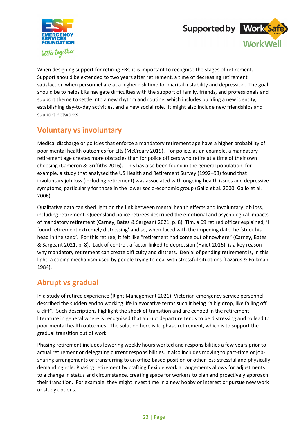



When designing support for retiring ERs, it is important to recognise the stages of retirement. Support should be extended to two years after retirement, a time of decreasing retirement satisfaction when personnel are at a higher risk time for marital instability and depression. The goal should be to helps ERs navigate difficulties with the support of family, friends, and professionals and support theme to settle into a new rhythm and routine, which includes building a new identity, establishing day‐to‐day activities, and a new social role. It might also include new friendships and support networks.

#### **Voluntary vs involuntary**

Medical discharge or policies that enforce a mandatory retirement age have a higher probability of poor mental health outcomes for ERs (McCreary 2019). For police, as an example, a mandatory retirement age creates more obstacles than for police officers who retire at a time of their own choosing (Cameron & Griffiths 2016). This has also been found in the general population, for example, a study that analysed the US Health and Retirement Survey (1992–98) found that involuntary job loss (including retirement) was associated with ongoing health issues and depressive symptoms, particularly for those in the lower socio-economic group (Gallo et al. 2000; Gallo et al. 2006).

Qualitative data can shed light on the link between mental health effects and involuntary job loss, including retirement. Queensland police retirees described the emotional and psychological impacts of mandatory retirement (Carney, Bates & Sargeant 2021, p. 8). Tim, a 69 retired officer explained, 'I found retirement extremely distressing' and so, when faced with the impeding date, he 'stuck his head in the sand'. For this retiree, it felt like "retirement had come out of nowhere" (Carney, Bates & Sargeant 2021, p. 8). Lack of control, a factor linked to depression (Haidt 2016), is a key reason why mandatory retirement can create difficulty and distress. Denial of pending retirement is, in this light, a coping mechanism used by people trying to deal with stressful situations (Lazarus & Folkman 1984).

#### **Abrupt vs gradual**

In a study of retiree experience (Right Management 2021), Victorian emergency service personnel described the sudden end to working life in evocative terms such it being "a big drop, like falling off a cliff". Such descriptions highlight the shock of transition and are echoed in the retirement literature in general where is recognised that abrupt departure tends to be distressing and to lead to poor mental health outcomes. The solution here is to phase retirement, which is to support the gradual transition out of work.

Phasing retirement includes lowering weekly hours worked and responsibilities a few years prior to actual retirement or delegating current responsibilities. It also includes moving to part-time or jobsharing arrangements or transferring to an office‐based position or other less stressful and physically demanding role. Phasing retirement by crafting flexible work arrangements allows for adjustments to a change in status and circumstance, creating space for workers to plan and proactively approach their transition. For example, they might invest time in a new hobby or interest or pursue new work or study options.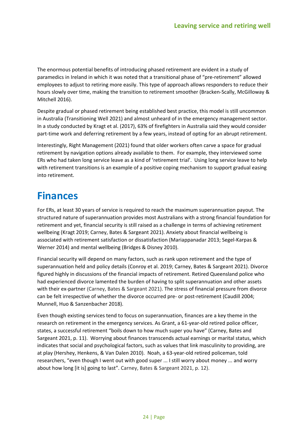The enormous potential benefits of introducing phased retirement are evident in a study of paramedics in Ireland in which it was noted that a transitional phase of "pre‐retirement" allowed employees to adjust to retiring more easily. This type of approach allows responders to reduce their hours slowly over time, making the transition to retirement smoother (Bracken-Scally, McGilloway & Mitchell 2016).

Despite gradual or phased retirement being established best practice, this model is still uncommon in Australia (Transitioning Well 2021) and almost unheard of in the emergency management sector. In a study conducted by Kragt et al. (2017), 63% of firefighters in Australia said they would consider part-time work and deferring retirement by a few years, instead of opting for an abrupt retirement.

Interestingly, Right Management (2021) found that older workers often carve a space for gradual retirement by navigation options already available to them. For example, they interviewed some ERs who had taken long service leave as a kind of 'retirement trial'. Using long service leave to help with retirement transitions is an example of a positive coping mechanism to support gradual easing into retirement.

### **Finances**

For ERs, at least 30 years of service is required to reach the maximum superannuation payout. The structured nature of superannuation provides most Australians with a strong financial foundation for retirement and yet, financial security is still raised as a challenge in terms of achieving retirement wellbeing (Kragt 2019; Carney, Bates & Sargeant 2021). Anxiety about financial wellbeing is associated with retirement satisfaction or dissatisfaction (Mariappanadar 2013; Segel-Karpas & Werner 2014) and mental wellbeing (Bridges & Disney 2010).

Financial security will depend on many factors, such as rank upon retirement and the type of superannuation held and policy details (Conroy et al. 2019; Carney, Bates & Sargeant 2021). Divorce figured highly in discussions of the financial impacts of retirement. Retired Queensland police who had experienced divorce lamented the burden of having to split superannuation and other assets with their ex-partner (Carney, Bates & Sargeant 2021). The stress of financial pressure from divorce can be felt irrespective of whether the divorce occurred pre- or post-retirement (Caudill 2004; Munnell, Huo & Sanzenbacher 2018).

Even though existing services tend to focus on superannuation, finances are a key theme in the research on retirement in the emergency services. As Grant, a 61‐year‐old retired police officer, states, a successful retirement "boils down to how much super you have" (Carney, Bates and Sargeant 2021, p. 11). Worrying about finances transcends actual earnings or marital status, which indicates that social and psychological factors, such as values that link masculinity to providing, are at play (Hershey, Henkens, & Van Dalen 2010). Noah, a 63‐year‐old retired policeman, told researchers, "even though I went out with good super ... I still worry about money ... and worry about how long [it is] going to last". Carney, Bates & Sargeant 2021, p. 12).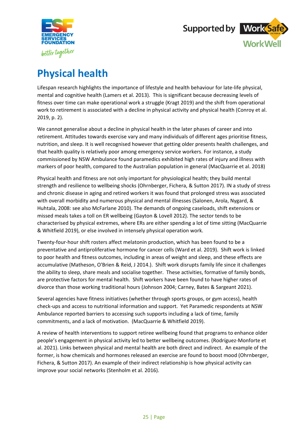



## **Physical health**

Lifespan research highlights the importance of lifestyle and health behaviour for late-life physical, mental and cognitive health (Lamers et al. 2013). This is significant because decreasing levels of fitness over time can make operational work a struggle (Kragt 2019) and the shift from operational work to retirement is associated with a decline in physical activity and physical health (Conroy et al. 2019, p. 2).

We cannot generalise about a decline in physical health in the later phases of career and into retirement. Attitudes towards exercise vary and many individuals of different ages prioritise fitness, nutrition, and sleep. It is well recognised however that getting older presents health challenges, and that health quality is relatively poor among emergency service workers. For instance, a study commissioned by NSW Ambulance found paramedics exhibited high rates of injury and illness with markers of poor health, compared to the Australian population in general (MacQuarrie et al. 2018)

Physical health and fitness are not only important for physiological health; they build mental strength and resilience to wellbeing shocks (Ohrnberger, Fichera, & Sutton 2017). IN a study of stress and chronic disease in aging and retired workers it was found that prolonged stress was associated with overall morbidity and numerous physical and mental illnesses (Salonen, Arola, Nygard, & Huhtala, 2008: see also McFarlane 2010). The demands of ongoing caseloads, shift extensions or missed meals takes a toll on ER wellbeing (Gayton & Lovell 2012). The sector tends to be characterised by physical extremes, where ERs are either spending a lot of time sitting (MacQuarrie & Whitfield 2019), or else involved in intensely physical operation work.

Twenty‐four‐hour shift rosters affect melatonin production, which has been found to be a preventative and antiproliferative hormone for cancer cells (Ward et al. 2019). Shift work is linked to poor health and fitness outcomes, including in areas of weight and sleep, and these effects are accumulative (Matheson, O'Brien & Reid, J 2014.). Shift work disrupts family life since it challenges the ability to sleep, share meals and socialise together. These activities, formative of family bonds, are protective factors for mental health. Shift workers have been found to have higher rates of divorce than those working traditional hours (Johnson 2004; Carney, Bates & Sargeant 2021).

Several agencies have fitness initiatives (whether through sports groups, or gym access), health check‐ups and access to nutritional information and support. Yet Paramedic respondents at NSW Ambulance reported barriers to accessing such supports including a lack of time, family commitments, and a lack of motivation. (MacQuarrie & Whitfield 2019).

A review of health interventions to support retiree wellbeing found that programs to enhance older people's engagement in physical activity led to better wellbeing outcomes. (Rodríguez‐Monforte et al. 2021). Links between physical and mental health are both direct and indirect. An example of the former, is how chemicals and hormones released an exercise are found to boost mood (Ohrnberger, Fichera, & Sutton 2017). An example of their indirect relationship is how physical activity can improve your social networks (Stenholm et al. 2016).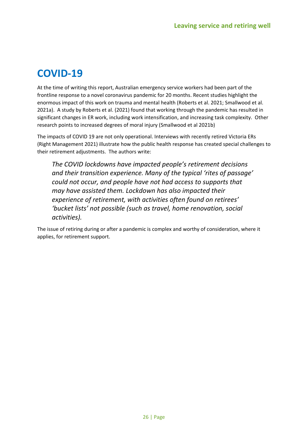### **COVID‐19**

At the time of writing this report, Australian emergency service workers had been part of the frontline response to a novel coronavirus pandemic for 20 months. Recent studies highlight the enormous impact of this work on trauma and mental health (Roberts et al. 2021; Smallwood et al. 2021a). A study by Roberts et al. (2021) found that working through the pandemic has resulted in significant changes in ER work, including work intensification, and increasing task complexity. Other research points to increased degrees of moral injury (Smallwood et al 2021b)

The impacts of COVID 19 are not only operational. Interviews with recently retired Victoria ERs (Right Management 2021) illustrate how the public health response has created special challenges to their retirement adjustments. The authors write:

*The COVID lockdowns have impacted people's retirement decisions and their transition experience. Many of the typical 'rites of passage' could not occur, and people have not had access to supports that may have assisted them. Lockdown has also impacted their experience of retirement, with activities often found on retirees' 'bucket lists' not possible (such as travel, home renovation, social activities).* 

The issue of retiring during or after a pandemic is complex and worthy of consideration, where it applies, for retirement support.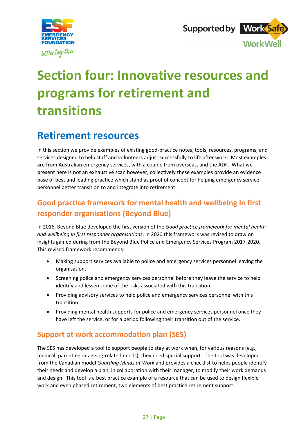





## **Section four: Innovative resources and programs for retirement and transitions**

## **Retirement resources**

In this section we provide examples of existing good‐practice notes, tools, resources, programs, and services designed to help staff and volunteers adjust successfully to life after work. Most examples are from Australian emergency services, with a couple from overseas, and the ADF. What we present here is not an exhaustive scan however, collectively these examples provide an evidence base of best and leading practice which stand as proof of concept for helping emergency service personnel better transition to and integrate into retirement.

### **Good practice framework for mental health and wellbeing in first responder organisations (Beyond Blue)**

In 2016, Beyond Blue developed the first version of the *Good practice framework for mental health and wellbeing in first responder organisations*. In 2020 this framework was revised to draw on insights gained during from the Beyond Blue Police and Emergency Services Program 2017‐2020. This revised framework recommends:

- Making support services available to police and emergency services personnel leaving the organisation.
- Screening police and emergency services personnel before they leave the service to help identify and lessen some of the risks associated with this transition.
- Providing advisory services to help police and emergency services personnel with this transition.
- Providing mental health supports for police and emergency services personnel once they have left the service, or for a period following their transition out of the service.

#### **Support at work accommodation plan (SES)**

The SES has developed a tool to support people to stay at work when, for various reasons (e.g., medical, parenting or ageing‐related needs), they need special support. The tool was developed from the Canadian model *Guarding Minds at Work* and provides a checklist to helps people identify their needs and develop a plan, in collaboration with their manager, to modify their work demands and design. This tool is a best practice example of a resource that can be used to design flexible work and even phased retirement, two elements of best practice retirement support.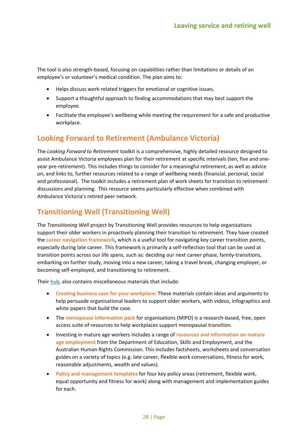The tool is also strength‐based, focusing on capabilities rather than limitations or details of an employee's or volunteer's medical condition. The plan aims to:

- Helps discuss work‐related triggers for emotional or cognitive issues.
- Support a thoughtful approach to finding accommodations that may best support the employee.
- Facilitate the employee's wellbeing while meeting the requirement for a safe and productive workplace.

#### **Looking Forward to Retirement (Ambulance Victoria)**

The *Looking Forward to Retirement* toolkit is a comprehensive, highly detailed resource designed to assist Ambulance Victoria employees plan for their retirement at specific intervals (ten, five and one‐ year pre-retirement). This includes things to consider for a meaningful retirement, as well as advice on, and links to, further resources related to a range of wellbeing needs (financial, personal, social and professional). The toolkit includes a retirement plan of work sheets for transition to retirement discussions and planning. This resource seems particularly effective when combined with Ambulance Victoria's retired peer network.

#### **Transitioning Well (Transitioning Well)**

The *Transitioning Well* project by Transitioning Well provides resources to help organisations support their older workers in proactively planning their transition to retirement. They have created the **career navigation framework,** which is a useful tool for navigating key career transition points, especially during late career. This framework is primarily a self‐reflection tool that can be used at transition points across our life spans, such as: deciding our next career phase, family‐transitions, embarking on further study, moving into a new career, taking a travel break, changing employer, or becoming self‐employed, and transitioning to retirement.

Their hub, also contains miscellaneous materials that include:

- **Creating business case for your workplace**: These materials contain ideas and arguments to help persuade organisational leaders to support older workers, with videos, infographics and white papers that build the case.
- The **menopause information pack** for organisations (MIPO) is a research-based, free, open access suite of resources to help workplaces support menopausal transition.
- Investing in mature age workers includes a range of **resources and information on mature age employment** from the Department of Education, Skills and Employment, and the Australian Human Rights Commission. This includes factsheets, worksheets and conversation guides on a variety of topics (e.g. late career, flexible work conversations, fitness for work, reasonable adjustments, wealth and values).
- **Policy and management templates** for four key policy areas (retirement, flexible work, equal opportunity and fitness for work) along with management and implementation guides for each.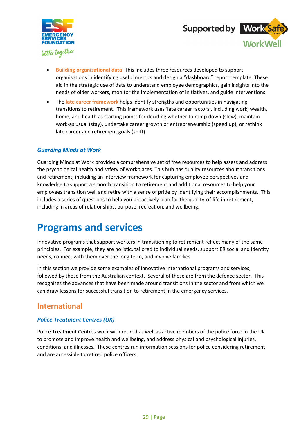



- **Building organisational data**: This includes three resources developed to support organisations in identifying useful metrics and design a "dashboard" report template. These aid in the strategic use of data to understand employee demographics, gain insights into the needs of older workers, monitor the implementation of initiatives, and guide interventions.
- The **late career framework** helps identify strengths and opportunities in navigating transitions to retirement. This framework uses 'late career factors', including work, wealth, home, and health as starting points for deciding whether to ramp down (slow), maintain work-as usual (stay), undertake career growth or entrepreneurship (speed up), or rethink late career and retirement goals (shift).

#### *Guarding Minds at Work*

Guarding Minds at Work provides a comprehensive set of free resources to help assess and address the psychological health and safety of workplaces. This hub has quality resources about transitions and retirement, including an interview framework for capturing employee perspectives and knowledge to support a smooth transition to retirement and additional resources to help your employees transition well and retire with a sense of pride by identifying their accomplishments. This includes a series of questions to help you proactively plan for the quality‐of‐life in retirement, including in areas of relationships, purpose, recreation, and wellbeing.

### **Programs and services**

Innovative programs that support workers in transitioning to retirement reflect many of the same principles. For example, they are holistic, tailored to individual needs, support ER social and identity needs, connect with them over the long term, and involve families.

In this section we provide some examples of innovative international programs and services, followed by those from the Australian context. Several of these are from the defence sector. This recognises the advances that have been made around transitions in the sector and from which we can draw lessons for successful transition to retirement in the emergency services.

#### **International**

#### *Police Treatment Centres (UK)*

Police Treatment Centres work with retired as well as active members of the police force in the UK to promote and improve health and wellbeing, and address physical and psychological injuries, conditions, and illnesses. These centres run information sessions for police considering retirement and are accessible to retired police officers.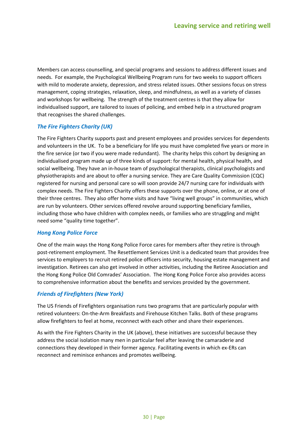Members can access counselling, and special programs and sessions to address different issues and needs. For example, the Psychological Wellbeing Program runs for two weeks to support officers with mild to moderate anxiety, depression, and stress related issues. Other sessions focus on stress management, coping strategies, relaxation, sleep, and mindfulness, as well as a variety of classes and workshops for wellbeing. The strength of the treatment centres is that they allow for individualised support, are tailored to issues of policing, and embed help in a structured program that recognises the shared challenges.

#### *The Fire Fighters Charity (UK)*

The Fire Fighters Charity supports past and present employees and provides services for dependents and volunteers in the UK. To be a beneficiary for life you must have completed five years or more in the fire service (or two if you were made redundant). The charity helps this cohort by designing an individualised program made up of three kinds of support: for mental health, physical health, and social wellbeing. They have an in‐house team of psychological therapists, clinical psychologists and physiotherapists and are about to offer a nursing service. They are Care Quality Commission (CQC) registered for nursing and personal care so will soon provide 24/7 nursing care for individuals with complex needs. The Fire Fighters Charity offers these supports over the phone, online, or at one of their three centres. They also offer home visits and have "living well groups" in communities, which are run by volunteers. Other services offered revolve around supporting beneficiary families, including those who have children with complex needs, or families who are struggling and might need some "quality time together".

#### *Hong Kong Police Force*

One of the main ways the Hong Kong Police Force cares for members after they retire is through post-retirement employment. The Resettlement Services Unit is a dedicated team that provides free services to employers to recruit retired police officers into security, housing estate management and investigation. Retirees can also get involved in other activities, including the Retiree Association and the Hong Kong Police Old Comrades' Association. The Hong Kong Police Force also provides access to comprehensive information about the benefits and services provided by the government.

#### *Friends of Firefighters (New York)*

The US Friends of Firefighters organisation runs two programs that are particularly popular with retired volunteers: On‐the‐Arm Breakfasts and Firehouse Kitchen Talks. Both of these programs allow firefighters to feel at home, reconnect with each other and share their experiences.

As with the Fire Fighters Charity in the UK (above), these initiatives are successful because they address the social isolation many men in particular feel after leaving the camaraderie and connections they developed in their former agency. Facilitating events in which ex‐ERs can reconnect and reminisce enhances and promotes wellbeing.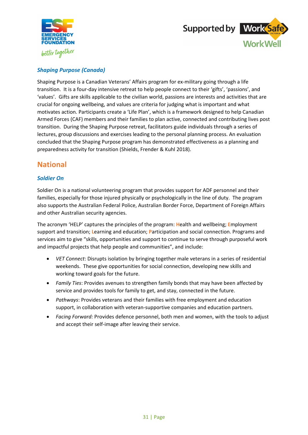



#### *Shaping Purpose (Canada)*

Shaping Purpose is a Canadian Veterans' Affairs program for ex-military going through a life transition. It is a four‐day intensive retreat to help people connect to their 'gifts', 'passions', and 'values'. Gifts are skills applicable to the civilian world, passions are interests and activities that are crucial for ongoing wellbeing, and values are criteria for judging what is important and what motivates action. Participants create a 'Life Plan', which is a framework designed to help Canadian Armed Forces (CAF) members and their families to plan active, connected and contributing lives post transition. During the Shaping Purpose retreat, facilitators guide individuals through a series of lectures, group discussions and exercises leading to the personal planning process. An evaluation concluded that the Shaping Purpose program has demonstrated effectiveness as a planning and preparedness activity for transition (Shields, Frender & Kuhl 2018).

#### **National**

#### *Soldier On*

Soldier On is a national volunteering program that provides support for ADF personnel and their families, especially for those injured physically or psychologically in the line of duty. The program also supports the Australian Federal Police, Australian Border Force, Department of Foreign Affairs and other Australian security agencies.

The acronym 'HELP' captures the principles of the program: **H**ealth and wellbeing; **E**mployment support and transition; **L**earning and education; **P**articipation and social connection. Programs and services aim to give "skills, opportunities and support to continue to serve through purposeful work and impactful projects that help people and communities", and include:

- *VET Connect*: Disrupts isolation by bringing together male veterans in a series of residential weekends. These give opportunities for social connection, developing new skills and working toward goals for the future.
- *Family Ties*: Provides avenues to strengthen family bonds that may have been affected by service and provides tools for family to get, and stay, connected in the future.
- *Pathways*: Provides veterans and their families with free employment and education support, in collaboration with veteran‐supportive companies and education partners.
- *Facing Forward:* Provides defence personnel, both men and women, with the tools to adjust and accept their self‐image after leaving their service.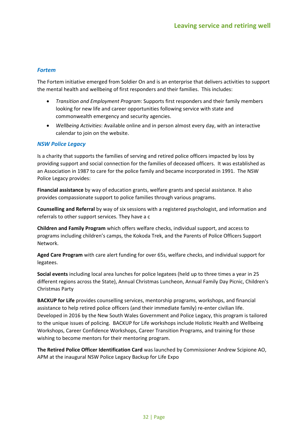#### *Fortem*

The Fortem initiative emerged from Soldier On and is an enterprise that delivers activities to support the mental health and wellbeing of first responders and their families. This includes:

- *Transition and Employment Program*: Supports first responders and their family members looking for new life and career opportunities following service with state and commonwealth emergency and security agencies.
- *Wellbeing Activities*: Available online and in person almost every day, with an interactive calendar to join on the website.

#### *NSW Police Legacy*

Is a charity that supports the families of serving and retired police officers impacted by loss by providing support and social connection for the families of deceased officers. It was established as an Association in 1987 to care for the police family and became incorporated in 1991. The NSW Police Legacy provides:

**Financial assistance** by way of education grants, welfare grants and special assistance. It also provides compassionate support to police families through various programs.

**Counselling and Referral** by way of six sessions with a registered psychologist, and information and referrals to other support services. They have a c

**Children and Family Program** which offers welfare checks, individual support, and access to programs including children's camps, the Kokoda Trek, and the Parents of Police Officers Support Network.

**Aged Care Program** with care alert funding for over 65s, welfare checks, and individual support for legatees.

**Social events** including local area lunches for police legatees (held up to three times a year in 25 different regions across the State), Annual Christmas Luncheon, Annual Family Day Picnic, Children's Christmas Party

**BACKUP for Life** provides counselling services, mentorship programs, workshops, and financial assistance to help retired police officers (and their immediate family) re-enter civilian life. Developed in 2016 by the New South Wales Government and Police Legacy, this program is tailored to the unique issues of policing. BACKUP for Life workshops include Holistic Health and Wellbeing Workshops, Career Confidence Workshops, Career Transition Programs, and training for those wishing to become mentors for their mentoring program.

**The Retired Police Officer Identification Card** was launched by Commissioner Andrew Scipione AO, APM at the inaugural NSW Police Legacy Backup for Life Expo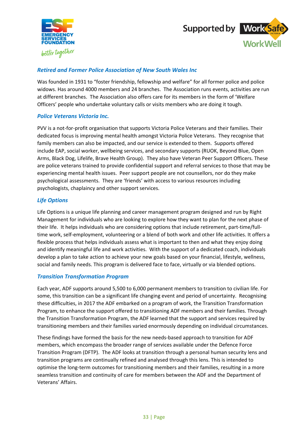



#### *Retired and Former Police Association of New South Wales Inc*

Was founded in 1931 to "foster friendship, fellowship and welfare" for all former police and police widows. Has around 4000 members and 24 branches. The Association runs events, activities are run at different branches. The Association also offers care for its members in the form of 'Welfare Officers' people who undertake voluntary calls or visits members who are doing it tough.

#### *Police Veterans Victoria Inc.*

PVV is a not-for-profit organisation that supports Victoria Police Veterans and their families. Their dedicated focus is improving mental health amongst Victoria Police Veterans. They recognise that family members can also be impacted, and our service is extended to them. Supports offered include EAP, social worker, wellbeing services, and secondary supports (RUOK, Beyond Blue, Open Arms, Black Dog, Lifelife, Brave Health Group). They also have Veteran Peer Support Officers. These are police veterans trained to provide confidential support and referral services to those that may be experiencing mental health issues. Peer support people are not counsellors, nor do they make psychological assessments. They are 'friends' with access to various resources including psychologists, chaplaincy and other support services.

#### *Life Options*

Life Options is a unique life planning and career management program designed and run by Right Management for individuals who are looking to explore how they want to plan for the next phase of their life. It helps individuals who are considering options that include retirement, part‐time/full‐ time work, self‐employment, volunteering or a blend of both work and other life activities. It offers a flexible process that helps individuals assess what is important to then and what they enjoy doing and identify meaningful life and work activities. With the support of a dedicated coach, individuals develop a plan to take action to achieve your new goals based on your financial, lifestyle, wellness, social and family needs. This program is delivered face to face, virtually or via blended options.

#### *Transition Transformation Program*

Each year, ADF supports around 5,500 to 6,000 permanent members to transition to civilian life. For some, this transition can be a significant life changing event and period of uncertainty. Recognising these difficulties, in 2017 the ADF embarked on a program of work, the Transition Transformation Program, to enhance the support offered to transitioning ADF members and their families. Through the Transition Transformation Program, the ADF learned that the support and services required by transitioning members and their families varied enormously depending on individual circumstances.

These findings have formed the basis for the new needs‐based approach to transition for ADF members, which encompass the broader range of services available under the Defence Force Transition Program (DFTP). The ADF looks at transition through a personal human security lens and transition programs are continually refined and analysed through this lens. This is intended to optimise the long‐term outcomes for transitioning members and their families, resulting in a more seamless transition and continuity of care for members between the ADF and the Department of Veterans' Affairs.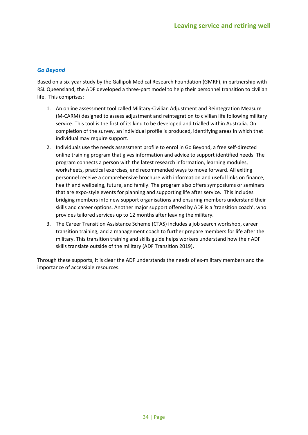#### *Go Beyond*

Based on a six‐year study by the Gallipoli Medical Research Foundation (GMRF), in partnership with RSL Queensland, the ADF developed a three-part model to help their personnel transition to civilian life. This comprises:

- 1. An online assessment tool called Military‐Civilian Adjustment and Reintegration Measure (M‐CARM) designed to assess adjustment and reintegration to civilian life following military service. This tool is the first of its kind to be developed and trialled within Australia. On completion of the survey, an individual profile is produced, identifying areas in which that individual may require support.
- 2. Individuals use the needs assessment profile to enrol in Go Beyond, a free self-directed online training program that gives information and advice to support identified needs. The program connects a person with the latest research information, learning modules, worksheets, practical exercises, and recommended ways to move forward. All exiting personnel receive a comprehensive brochure with information and useful links on finance, health and wellbeing, future, and family. The program also offers symposiums or seminars that are expo‐style events for planning and supporting life after service. This includes bridging members into new support organisations and ensuring members understand their skills and career options. Another major support offered by ADF is a 'transition coach', who provides tailored services up to 12 months after leaving the military.
- 3. The Career Transition Assistance Scheme (CTAS) includes a job search workshop, career transition training, and a management coach to further prepare members for life after the military. This transition training and skills guide helps workers understand how their ADF skills translate outside of the military (ADF Transition 2019).

Through these supports, it is clear the ADF understands the needs of ex-military members and the importance of accessible resources.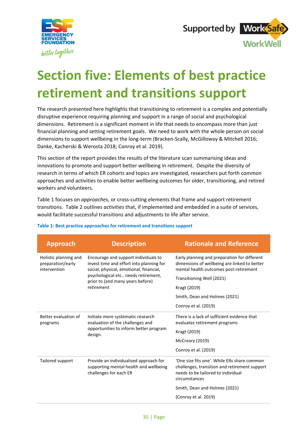

Supported by Work Safe **WorkWell** 

## **Section five: Elements of best practice retirement and transitions support**

The research presented here highlights that transitioning to retirement is a complex and potentially disruptive experience requiring planning and support in a range of social and psychological dimensions. Retirement is a significant moment in life that needs to encompass more than just financial planning and setting retirement goals. We need to work with the whole person on social dimensions to support wellbeing in the long‐term (Bracken‐Scally, McGilloway & Mitchell 2016; Danke, Kacherski & Werosta 2018; Conroy et al. 2019).

This section of the report provides the results of the literature scan summarising ideas and innovations to promote and support better wellbeing in retirement. Despite the diversity of research in terms of which ER cohorts and topics are investigated, researchers put forth common approaches and activities to enable better wellbeing outcomes for older, transitioning, and retired workers and volunteers.

Table 1 focuses on *approaches*, or cross-cutting elements that frame and support retirement transitions. Table 2 outlines *activities* that, if implemented and embedded in a suite of services, would facilitate successful transitions and adjustments to life after service.

| <b>Approach</b>                                            | <b>Description</b>                                                                                                                                                                                                   | <b>Rationale and Reference</b>                                                                                                                      |
|------------------------------------------------------------|----------------------------------------------------------------------------------------------------------------------------------------------------------------------------------------------------------------------|-----------------------------------------------------------------------------------------------------------------------------------------------------|
| Holistic planning and<br>preparation/early<br>intervention | Encourage and support individuals to<br>invest time and effort into planning for<br>social, physical, emotional, financial,<br>psychological etc needs retirement,<br>prior to (and many years before)<br>retirement | Early planning and preparation for different<br>dimensions of wellbeing are linked to better<br>mental health outcomes post-retirement              |
|                                                            |                                                                                                                                                                                                                      | Transitioning Well (2021)                                                                                                                           |
|                                                            |                                                                                                                                                                                                                      | Kragt (2019)                                                                                                                                        |
|                                                            |                                                                                                                                                                                                                      | Smith, Dean and Holmes (2021)                                                                                                                       |
|                                                            |                                                                                                                                                                                                                      | Conroy et al. (2019)                                                                                                                                |
| Better evaluation of<br>programs                           | Initiate more systematic research<br>evaluation of the challenges and<br>opportunities to inform better program<br>design.                                                                                           | There is a lack of sufficient evidence that<br>evaluates retirement programs                                                                        |
|                                                            |                                                                                                                                                                                                                      | Kragt (2019)                                                                                                                                        |
|                                                            |                                                                                                                                                                                                                      | McCreary (2019)                                                                                                                                     |
|                                                            |                                                                                                                                                                                                                      | Conroy et al. (2019)                                                                                                                                |
| Tailored support                                           | Provide an individualised approach for<br>supporting mental health and wellbeing<br>challenges for each ER                                                                                                           | 'One size fits one'. While ERs share common<br>challenges, transition and retirement support<br>needs to be tailored to individual<br>circumstances |
|                                                            |                                                                                                                                                                                                                      | Smith, Dean and Holmes (2021)                                                                                                                       |
|                                                            |                                                                                                                                                                                                                      | (Conroy et al. 2019)                                                                                                                                |

#### **Table 1: Best practice approaches for retirement and transitions support**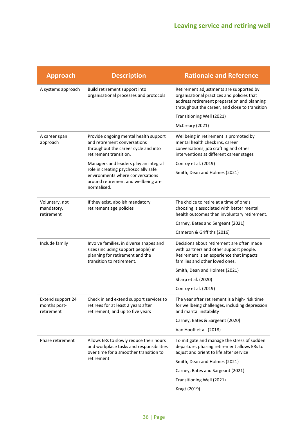| <b>Approach</b>                                 | <b>Description</b>                                                                                                                             | <b>Rationale and Reference</b>                                                                                                                                                         |
|-------------------------------------------------|------------------------------------------------------------------------------------------------------------------------------------------------|----------------------------------------------------------------------------------------------------------------------------------------------------------------------------------------|
| A systems approach                              | Build retirement support into<br>organisational processes and protocols                                                                        | Retirement adjustments are supported by<br>organisational practices and policies that<br>address retirement preparation and planning<br>throughout the career, and close to transition |
|                                                 |                                                                                                                                                | Transitioning Well (2021)                                                                                                                                                              |
|                                                 |                                                                                                                                                | McCreary (2021)                                                                                                                                                                        |
| A career span<br>approach                       | Provide ongoing mental health support<br>and retirement conversations<br>throughout the career cycle and into<br>retirement transition.        | Wellbeing in retirement is promoted by<br>mental health check ins, career<br>conversations, job crafting and other<br>interventions at different career stages                         |
|                                                 | Managers and leaders play an integral                                                                                                          | Conroy et al. (2019)                                                                                                                                                                   |
|                                                 | role in creating psychosocially safe<br>environments where conversations<br>around retirement and wellbeing are<br>normalised.                 | Smith, Dean and Holmes (2021)                                                                                                                                                          |
| Voluntary, not<br>mandatory,<br>retirement      | If they exist, abolish mandatory<br>retirement age policies                                                                                    | The choice to retire at a time of one's<br>choosing is associated with better mental<br>health outcomes than involuntary retirement.                                                   |
|                                                 |                                                                                                                                                | Carney, Bates and Sergeant (2021)                                                                                                                                                      |
|                                                 |                                                                                                                                                | Cameron & Griffiths (2016)                                                                                                                                                             |
| Include family                                  | Involve families, in diverse shapes and<br>sizes (including support people) in<br>planning for retirement and the<br>transition to retirement. | Decisions about retirement are often made<br>with partners and other support people.<br>Retirement is an experience that impacts<br>families and other loved ones.                     |
|                                                 |                                                                                                                                                | Smith, Dean and Holmes (2021)                                                                                                                                                          |
|                                                 |                                                                                                                                                | Sharp et al. (2020)                                                                                                                                                                    |
|                                                 |                                                                                                                                                | Conroy et al. (2019)                                                                                                                                                                   |
| Extend support 24<br>months post-<br>retirement | Check in and extend support services to<br>retirees for at least 2 years after<br>retirement, and up to five years                             | The year after retirement is a high- risk time<br>for wellbeing challenges, including depression<br>and marital instability                                                            |
|                                                 |                                                                                                                                                | Carney, Bates & Sargeant (2020)                                                                                                                                                        |
|                                                 |                                                                                                                                                | Van Hooff et al. (2018)                                                                                                                                                                |
| Phase retirement                                | Allows ERs to slowly reduce their hours<br>and workplace tasks and responsibilities<br>over time for a smoother transition to                  | To mitigate and manage the stress of sudden<br>departure, phasing retirement allows ERs to<br>adjust and orient to life after service                                                  |
|                                                 | retirement                                                                                                                                     | Smith, Dean and Holmes (2021)                                                                                                                                                          |
|                                                 |                                                                                                                                                | Carney, Bates and Sargeant (2021)                                                                                                                                                      |
|                                                 |                                                                                                                                                | Transitioning Well (2021)                                                                                                                                                              |
|                                                 |                                                                                                                                                | Kragt (2019)                                                                                                                                                                           |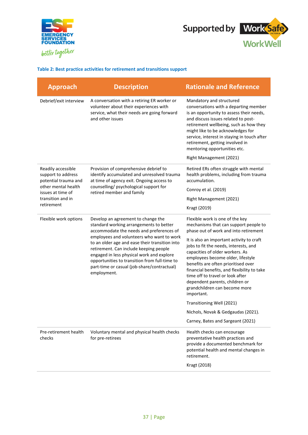

Supported by Work Safe



#### **Table 2: Best practice activities for retirement and transitions support**

| <b>Approach</b>                                                                                                                                                                                      | <b>Description</b>                                                                                                                                                                                                                                                                                                                                                                                                             | <b>Rationale and Reference</b>                                                                                                                                                                                                                                                                                                                                                   |
|------------------------------------------------------------------------------------------------------------------------------------------------------------------------------------------------------|--------------------------------------------------------------------------------------------------------------------------------------------------------------------------------------------------------------------------------------------------------------------------------------------------------------------------------------------------------------------------------------------------------------------------------|----------------------------------------------------------------------------------------------------------------------------------------------------------------------------------------------------------------------------------------------------------------------------------------------------------------------------------------------------------------------------------|
| Debrief/exit interview                                                                                                                                                                               | A conversation with a retiring ER worker or<br>volunteer about their experiences with<br>service, what their needs are going forward<br>and other issues                                                                                                                                                                                                                                                                       | Mandatory and structured<br>conversations with a departing member<br>is an opportunity to assess their needs,<br>and discuss issues related to post-<br>retirement wellbeing, such as how they<br>might like to be acknowledges for<br>service, interest in staying in touch after<br>retirement, getting involved in<br>mentoring opportunities etc.<br>Right Management (2021) |
| Readily accessible<br>Provision of comprehensive debrief to<br>support to address<br>identify accumulated and unresolved trauma<br>potential trauma and<br>at time of agency exit. Ongoing access to | Retired ERs often struggle with mental<br>health problems, including from trauma<br>accumulation.                                                                                                                                                                                                                                                                                                                              |                                                                                                                                                                                                                                                                                                                                                                                  |
| other mental health<br>issues at time of                                                                                                                                                             | counselling/ psychological support for<br>retired member and family                                                                                                                                                                                                                                                                                                                                                            | Conroy et al. (2019)                                                                                                                                                                                                                                                                                                                                                             |
| transition and in                                                                                                                                                                                    |                                                                                                                                                                                                                                                                                                                                                                                                                                | Right Management (2021)                                                                                                                                                                                                                                                                                                                                                          |
| retirement                                                                                                                                                                                           |                                                                                                                                                                                                                                                                                                                                                                                                                                | Kragt (2019)                                                                                                                                                                                                                                                                                                                                                                     |
| Flexible work options                                                                                                                                                                                | Develop an agreement to change the<br>standard working arrangements to better<br>accommodate the needs and preferences of<br>employees and volunteers who want to work<br>to an older age and ease their transition into<br>retirement. Can include keeping people<br>engaged in less physical work and explore<br>opportunities to transition from full-time to<br>part-time or casual (job-share/contractual)<br>employment. | Flexible work is one of the key<br>mechanisms that can support people to<br>phase out of work and into retirement                                                                                                                                                                                                                                                                |
|                                                                                                                                                                                                      |                                                                                                                                                                                                                                                                                                                                                                                                                                | It is also an important activity to craft<br>jobs to fit the needs, interests, and<br>capacities of older workers. As<br>employees become older, lifestyle<br>benefits are often prioritised over<br>financial benefits, and flexibility to take<br>time off to travel or look after<br>dependent parents, children or<br>grandchildren can become more<br>important.            |
|                                                                                                                                                                                                      |                                                                                                                                                                                                                                                                                                                                                                                                                                | Transitioning Well (2021)                                                                                                                                                                                                                                                                                                                                                        |
|                                                                                                                                                                                                      |                                                                                                                                                                                                                                                                                                                                                                                                                                | Nichols, Novak & Gedgaudas (2021).                                                                                                                                                                                                                                                                                                                                               |
|                                                                                                                                                                                                      |                                                                                                                                                                                                                                                                                                                                                                                                                                | Carney, Bates and Sargeant (2021)                                                                                                                                                                                                                                                                                                                                                |
| Pre-retirement health<br>checks                                                                                                                                                                      | Voluntary mental and physical health checks<br>for pre-retirees                                                                                                                                                                                                                                                                                                                                                                | Health checks can encourage<br>preventative health practices and<br>provide a documented benchmark for<br>potential health and mental changes in<br>retirement.                                                                                                                                                                                                                  |
|                                                                                                                                                                                                      |                                                                                                                                                                                                                                                                                                                                                                                                                                | Kragt (2018)                                                                                                                                                                                                                                                                                                                                                                     |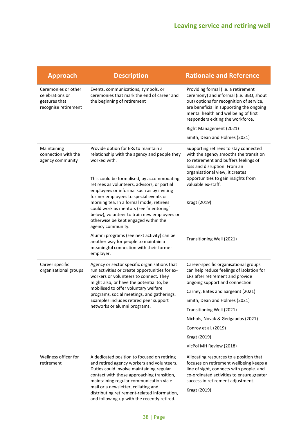| <b>Approach</b>                                                                 | <b>Description</b>                                                                                                                                                                                                                                                                                                                                                                | <b>Rationale and Reference</b>                                                                                                                                                                                                                      |
|---------------------------------------------------------------------------------|-----------------------------------------------------------------------------------------------------------------------------------------------------------------------------------------------------------------------------------------------------------------------------------------------------------------------------------------------------------------------------------|-----------------------------------------------------------------------------------------------------------------------------------------------------------------------------------------------------------------------------------------------------|
| Ceremonies or other<br>celebrations or<br>gestures that<br>recognise retirement | Events, communications, symbols, or<br>ceremonies that mark the end of career and<br>the beginning of retirement                                                                                                                                                                                                                                                                  | Providing formal (i.e. a retirement<br>ceremony) and informal (i.e. BBQ, shout<br>out) options for recognition of service,<br>are beneficial in supporting the ongoing<br>mental health and wellbeing of first<br>responders exiting the workforce. |
|                                                                                 |                                                                                                                                                                                                                                                                                                                                                                                   | Right Management (2021)                                                                                                                                                                                                                             |
|                                                                                 |                                                                                                                                                                                                                                                                                                                                                                                   | Smith, Dean and Holmes (2021)                                                                                                                                                                                                                       |
| Maintaining<br>connection with the<br>agency community                          | Provide option for ERs to maintain a<br>relationship with the agency and people they<br>worked with.                                                                                                                                                                                                                                                                              | Supporting retirees to stay connected<br>with the agency smooths the transition<br>to retirement and buffers feelings of<br>loss and disruption. From an<br>organisational view, it creates                                                         |
|                                                                                 | This could be formalised, by accommodating<br>retirees as volunteers, advisors, or partial<br>employees or informal such as by inviting<br>former employees to special events or<br>morning tea. In a formal mode, retirees<br>could work as mentors (see 'mentoring'<br>below), volunteer to train new employees or<br>otherwise be kept engaged within the<br>agency community. | opportunities to gain insights from<br>valuable ex-staff.                                                                                                                                                                                           |
|                                                                                 |                                                                                                                                                                                                                                                                                                                                                                                   | Kragt (2019)                                                                                                                                                                                                                                        |
|                                                                                 | Alumni programs (see next activity) can be<br>another way for people to maintain a<br>meaningful connection with their former<br>employer.                                                                                                                                                                                                                                        | Transitioning Well (2021)                                                                                                                                                                                                                           |
| Career specific<br>organisational groups                                        | Agency or sector specific organisations that<br>run activities or create opportunities for ex-<br>workers or volunteers to connect. They<br>might also, or have the potential to, be                                                                                                                                                                                              | Career-specific organisational groups<br>can help reduce feelings of isolation for<br>ERs after retirement and provide<br>ongoing support and connection.                                                                                           |
|                                                                                 | mobilised to offer voluntary welfare<br>programs, social meetings, and gatherings.                                                                                                                                                                                                                                                                                                | Carney, Bates and Sargeant (2021)                                                                                                                                                                                                                   |
|                                                                                 | Examples includes retired peer support                                                                                                                                                                                                                                                                                                                                            | Smith, Dean and Holmes (2021)                                                                                                                                                                                                                       |
|                                                                                 | networks or alumni programs.                                                                                                                                                                                                                                                                                                                                                      | Transitioning Well (2021)                                                                                                                                                                                                                           |
|                                                                                 |                                                                                                                                                                                                                                                                                                                                                                                   | Nichols, Novak & Gedgaudas (2021)                                                                                                                                                                                                                   |
|                                                                                 |                                                                                                                                                                                                                                                                                                                                                                                   | Conroy et al. (2019)                                                                                                                                                                                                                                |
|                                                                                 |                                                                                                                                                                                                                                                                                                                                                                                   | Kragt (2019)                                                                                                                                                                                                                                        |
|                                                                                 |                                                                                                                                                                                                                                                                                                                                                                                   | VicPol MH Review (2018)                                                                                                                                                                                                                             |
| Wellness officer for<br>retirement                                              | A dedicated position to focused on retiring<br>and retired agency workers and volunteers.<br>Duties could involve maintaining regular<br>contact with those approaching transition,<br>maintaining regular communication via e-<br>mail or a newsletter, collating and<br>distributing retirement-related information,<br>and following-up with the recently retired.             | Allocating resources to a position that<br>focuses on retirement wellbeing keeps a<br>line of sight, connects with people. and<br>co-ordinated activities to ensure greater<br>success in retirement adjustment.<br>Kragt (2019)                    |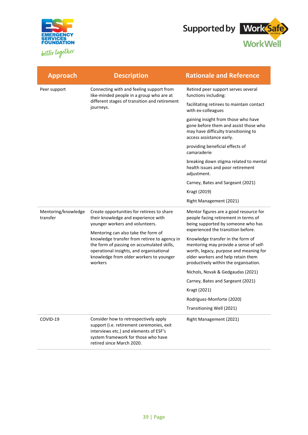



| <b>Approach</b>                 | <b>Description</b>                                                                                                                                                                                                                                                                                                                                          | <b>Rationale and Reference</b>                                                                                                                                                                       |
|---------------------------------|-------------------------------------------------------------------------------------------------------------------------------------------------------------------------------------------------------------------------------------------------------------------------------------------------------------------------------------------------------------|------------------------------------------------------------------------------------------------------------------------------------------------------------------------------------------------------|
| Peer support                    | Connecting with and feeling support from<br>like-minded people in a group who are at<br>different stages of transition and retirement<br>journeys.                                                                                                                                                                                                          | Retired peer support serves several<br>functions including:                                                                                                                                          |
|                                 |                                                                                                                                                                                                                                                                                                                                                             | facilitating retirees to maintain contact<br>with ex-colleagues                                                                                                                                      |
|                                 |                                                                                                                                                                                                                                                                                                                                                             | gaining insight from those who have<br>gone before them and assist those who<br>may have difficulty transitioning to<br>access assistance early.                                                     |
|                                 |                                                                                                                                                                                                                                                                                                                                                             | providing beneficial effects of<br>camaraderie                                                                                                                                                       |
|                                 |                                                                                                                                                                                                                                                                                                                                                             | breaking down stigma related to mental<br>health issues and poor retirement<br>adjustment.                                                                                                           |
|                                 |                                                                                                                                                                                                                                                                                                                                                             | Carney, Bates and Sargeant (2021)                                                                                                                                                                    |
|                                 |                                                                                                                                                                                                                                                                                                                                                             | Kragt (2019)                                                                                                                                                                                         |
|                                 |                                                                                                                                                                                                                                                                                                                                                             | Right Management (2021)                                                                                                                                                                              |
| Mentoring/knowledge<br>transfer | Create opportunities for retirees to share<br>their knowledge and experience with<br>younger workers and volunteers.<br>Mentoring can also take the form of<br>knowledge transfer from retiree to agency in<br>the form of passing on accumulated skills,<br>operational insights, and organisational<br>knowledge from older workers to younger<br>workers | Mentor figures are a good resource for<br>people facing retirement in terms of<br>being supported by someone who has<br>experienced the transition before.                                           |
|                                 |                                                                                                                                                                                                                                                                                                                                                             | Knowledge transfer in the form of<br>mentoring may provide a sense of self-<br>worth, legacy, purpose and meaning for<br>older workers and help retain them<br>productively within the organisation. |
|                                 |                                                                                                                                                                                                                                                                                                                                                             | Nichols, Novak & Gedgaudas (2021)                                                                                                                                                                    |
|                                 |                                                                                                                                                                                                                                                                                                                                                             | Carney, Bates and Sargeant (2021)                                                                                                                                                                    |
|                                 |                                                                                                                                                                                                                                                                                                                                                             | Kragt (2021)                                                                                                                                                                                         |
|                                 |                                                                                                                                                                                                                                                                                                                                                             | Rodríguez-Monforte (2020)                                                                                                                                                                            |
|                                 |                                                                                                                                                                                                                                                                                                                                                             | Transitioning Well (2021)                                                                                                                                                                            |
| COVID-19                        | Consider how to retrospectively apply<br>support (i.e. retirement ceremonies, exit<br>interviews etc.) and elements of ESF's<br>system framework for those who have<br>retired since March 2020.                                                                                                                                                            | Right Management (2021)                                                                                                                                                                              |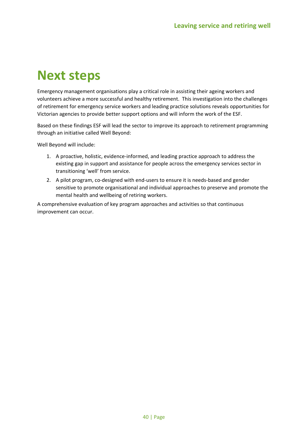## **Next steps**

Emergency management organisations play a critical role in assisting their ageing workers and volunteers achieve a more successful and healthy retirement. This investigation into the challenges of retirement for emergency service workers and leading practice solutions reveals opportunities for Victorian agencies to provide better support options and will inform the work of the ESF.

Based on these findings ESF will lead the sector to improve its approach to retirement programming through an initiative called Well Beyond:

Well Beyond will include:

- 1. A proactive, holistic, evidence‐informed, and leading practice approach to address the existing gap in support and assistance for people across the emergency services sector in transitioning 'well' from service.
- 2. A pilot program, co-designed with end-users to ensure it is needs-based and gender sensitive to promote organisational and individual approaches to preserve and promote the mental health and wellbeing of retiring workers.

A comprehensive evaluation of key program approaches and activities so that continuous improvement can occur.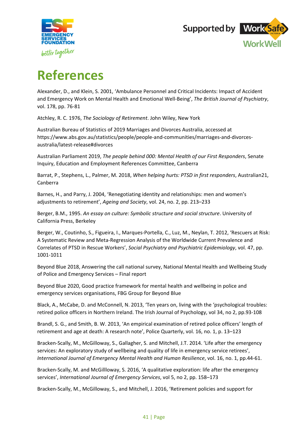

Supported by Work Safe **WorkWell** 

## **References**

Alexander, D., and Klein, S. 2001, 'Ambulance Personnel and Critical Incidents: Impact of Accident and Emergency Work on Mental Health and Emotional Well‐Being', *The British Journal of Psychiatry*, vol. 178, pp. 76‐81

Atchley, R. C. 1976, *The Sociology of Retirement*. John Wiley, New York

Australian Bureau of Statistics of 2019 Marriages and Divorces Australia, accessed at https://www.abs.gov.au/statistics/people/people‐and‐communities/marriages‐and‐divorces‐ australia/latest‐release#divorces

Australian Parliament 2019, *The people behind 000: Mental Health of our First Responders*, Senate Inquiry, Education and Employment References Committee, Canberra

Barrat, P., Stephens, L., Palmer, M. 2018, *When helping hurts: PTSD in first responders*, Australian21, Canberra

Barnes, H., and Parry, J. 2004, 'Renegotiating identity and relationships: men and women's adjustments to retirement', *Ageing and Society*, vol. 24, no. 2, pp. 213–233

Berger, B.M., 1995. *An essay on culture: Symbolic structure and social structure*. University of California Press, Berkeley

Berger, W., Coutinho, S., Figueira, I., Marques‐Portella, C., Luz, M., Neylan, T. 2012, 'Rescuers at Risk: A Systematic Review and Meta‐Regression Analysis of the Worldwide Current Prevalence and Correlates of PTSD in Rescue Workers', *Social Psychiatry and Psychiatric Epidemiology*, vol. 47, pp. 1001‐1011

Beyond Blue 2018, Answering the call national survey, National Mental Health and Wellbeing Study of Police and Emergency Services – Final report

Beyond Blue 2020, Good practice framework for mental health and wellbeing in police and emergency services organisations, FBG Group for Beyond Blue

Black, A., McCabe, D. and McConnell, N. 2013, 'Ten years on, living with the 'psychological troubles: retired police officers in Northern Ireland. The Irish Journal of Psychology, vol 34, no 2, pp.93‐108

Brandl, S. G., and Smith, B. W. 2013, 'An empirical examination of retired police officers' length of retirement and age at death: A research note', Police Quarterly, vol. 16, no. 1, p. 13–123

Bracken‐Scally, M., McGilloway, S., Gallagher, S. and Mitchell, J.T. 2014. 'Life after the emergency services: An exploratory study of wellbeing and quality of life in emergency service retirees', *International Journal of Emergency Mental Health and Human Resilience*, vol. 16, no. 1, pp.44‐61.

Bracken‐Scally, M. and McGillloway, S. 2016, 'A qualitative exploration: life after the emergency services', *International Journal of Emergency Services*, vol 5, no 2, pp. 158–173

Bracken‐Scally, M., McGilloway, S., and Mitchell, J. 2016, 'Retirement policies and support for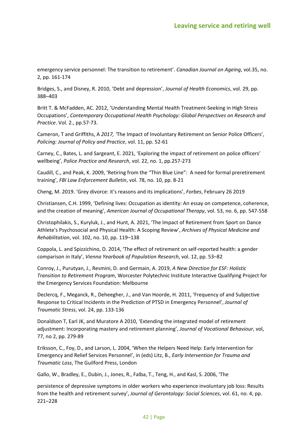emergency service personnel: The transition to retirement'. *Canadian Journal on Ageing*, vol.35, no. 2, pp. 161‐174

Bridges, S., and Disney, R. 2010, 'Debt and depression', *Journal of Health Economics*, vol. 29, pp. 388–403

Britt T. & McFadden, AC. 2012, 'Understanding Mental Health Treatment‐Seeking in High Stress Occupations', *Contemporary Occupational Health Psychology: Global Perspectives on Research and Practice*. Vol. 2., pp.57‐73.

Cameron, T and Griffiths, A *2017, '*The Impact of Involuntary Retirement on Senior Police Officers', *Policing: Journal of Policy and Practice*, vol. 11, pp. 52‐61

Carney, C., Bates, L. and Sargeant, E. 2021, 'Exploring the impact of retirement on police officers' wellbeing', *Police Practice and Research*, vol. 22, no. 1, pp.257‐273

Caudill, C., and Peak, K. 2009, 'Retiring from the "Thin Blue Line": A need for formal preretirement training', *FBI Law Enforcement Bulletin*, vol. 78, no. 10, pp. 8‐21

Cheng, M. 2019. 'Grey divorce: it's reasons and its implications', *Forbes*, February 26 2019

Christiansen, C.H. 1999, 'Defining lives: Occupation as identity: An essay on competence, coherence, and the creation of meaning', *American Journal of Occupational Therapy*, vol. 53, no. 6, pp. 547‐558

Christophilakis, S., Kuryluk, J., and Hunt, A. 2021, 'The Impact of Retirement from Sport on Dance Athlete's Psychosocial and Physical Health: A Scoping Review', *Archives of Physical Medicine and Rehabilitation*, vol. 102, no. 10, pp. 119–138

Coppola, L. and Spizzichino, D. 2014, 'The effect of retirement on self‐reported health: a gender comparison in Italy', *Vienna Yearbook of Population Research*, vol. 12, pp. 53–82

Conroy, J., Purutyan, J., Resmini, D. and Germain, A. 2019, *A New Direction for ESF: Holistic Transition to Retirement Program*, Worcester Polytechnic Institute Interactive Qualifying Project for the Emergency Services Foundation: Melbourne

Declercq, F., Meganck, R., Deheegher, J., and Van Hoorde, H. 2011, 'Frequency of and Subjective Response to Critical Incidents in the Prediction of PTSD in Emergency Personnel', *Journal of Traumatic Stress*, vol. 24, pp. 133‐136

Donaldson T, Earl JK, and Muratore A 2010, 'Extending the integrated model of retirement adjustment: Incorporating mastery and retirement planning', *Journal of Vocational Behaviour*, vol, 77, no 2, pp. 279‐89

Eriksson, C., Foy, D., and Larson, L. 2004, 'When the Helpers Need Help: Early Intervention for Emergency and Relief Services Personnel', in (eds) Litz, B., *Early Intervention for Trauma and Traumatic Loss*, The Guilford Press, London

Gallo, W., Bradley, E., Dubin, J., Jones, R., Falba, T., Teng, H., and Kasl, S. 2006, 'The

persistence of depressive symptoms in older workers who experience involuntary job loss: Results from the health and retirement survey', *Journal of Gerontology: Social Sciences*, vol. 61, no. 4, pp. 221–228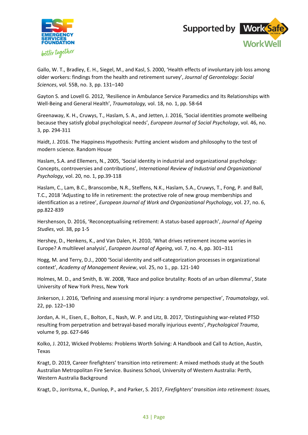



Gallo, W. T., Bradley, E. H., Siegel, M., and Kasl, S. 2000, 'Health effects of involuntary job loss among older workers: findings from the health and retirement survey', *Journal of Gerontology: Social Sciences*, vol. 55B, no. 3, pp. 131–140

Gayton S. and Lovell G. 2012, 'Resilience in Ambulance Service Paramedics and Its Relationships with Well‐Being and General Health', *Traumatology,* vol. 18, no. 1, pp. 58‐64

Greenaway, K. H., Cruwys, T., Haslam, S. A., and Jetten, J. 2016, 'Social identities promote wellbeing because they satisfy global psychological needs', *European Journal of Social Psychology*, vol. 46, no. 3, pp. 294‐311

Haidt, J. 2016. The Happiness Hypothesis: Putting ancient wisdom and philosophy to the test of modern science. Random House

Haslam, S.A. and Ellemers, N., 2005, 'Social identity in industrial and organizational psychology: Concepts, controversies and contributions', *International Review of Industrial and Organizational Psychology*, vol. 20, no. 1, pp.39‐118

Haslam, C., Lam, B.C., Branscombe, N.R., Steffens, N.K., Haslam, S.A., Cruwys, T., Fong, P. and Ball, T.C., 2018 'Adjusting to life in retirement: the protective role of new group memberships and identification as a retiree', *European Journal of Work and Organizational Psychology*, vol. 27, no. 6, pp.822‐839

Hershenson, D. 2016, 'Reconceptualising retirement: A status‐based approach', *Journal of Ageing Studies*, vol. 38, pp 1‐5

Hershey, D., Henkens, K., and Van Dalen, H. 2010, 'What drives retirement income worries in Europe? A multilevel analysis', *European Journal of Ageing*, vol. 7, no. 4, pp. 301–311

Hogg, M. and Terry, D.J., 2000 'Social identity and self‐categorization processes in organizational context', *Academy of Management Review*, vol. 25, no 1., pp. 121‐140

Holmes, M. D., and Smith, B. W. 2008, 'Race and police brutality: Roots of an urban dilemma', State University of New York Press, New York

Jinkerson, J. 2016, 'Defining and assessing moral injury: a syndrome perspective', *Traumatology*, vol. 22, pp. 122–130

Jordan, A. H., Eisen, E., Bolton, E., Nash, W. P. and Litz, B. 2017, 'Distinguishing war-related PTSD resulting from perpetration and betrayal‐based morally injurious events', *Psychological Trauma*, volume 9, pp. 627‐646

Kolko, J. 2012, Wicked Problems: Problems Worth Solving: A Handbook and Call to Action, Austin, Texas

Kragt, D. 2019, Career firefighters' transition into retirement: A mixed methods study at the South Australian Metropolitan Fire Service. Business School, University of Western Australia: Perth, Western Australia Background

Kragt, D., Jorritsma, K., Dunlop, P., and Parker, S. 2017, *Firefighters' transition into retirement: Issues,*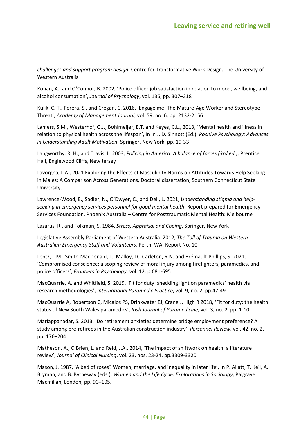*challenges and support program design*. Centre for Transformative Work Design. The University of Western Australia

Kohan, A., and O'Connor, B. 2002, 'Police officer job satisfaction in relation to mood, wellbeing, and alcohol consumption', *Journal of Psychology*, vol. 136, pp. 307–318

Kulik, C. T., Perera, S., and Cregan, C. 2016, 'Engage me: The Mature‐Age Worker and Stereotype Threat', *Academy of Management Journal*, vol. 59, no. 6, pp. 2132‐2156

Lamers, S.M., Westerhof, G.J., Bohlmeijer, E.T. and Keyes, C.L., 2013, 'Mental health and illness in relation to physical health across the lifespan', in In J. D. Sinnott (Ed.), *Positive Psychology: Advances in Understanding Adult Motivation*, Springer, New York, pp. 19‐33

Langworthy, R. H., and Travis, L. 2003, *Policing in America: A balance of forces (3rd ed.)*, Prentice Hall, Englewood Cliffs, New Jersey

Lavorgna, L.A., 2021 Exploring the Effects of Masculinity Norms on Attitudes Towards Help Seeking in Males: A Comparison Across Generations, Doctoral dissertation, Southern Connecticut State University.

Lawrence‐Wood, E., Sadler, N., O'Dwyer, C., and Dell, L. 2021, *Understanding stigma and help‐ seeking in emergency services personnel for good mental health*. Report prepared for Emergency Services Foundation. Phoenix Australia – Centre for Posttraumatic Mental Health: Melbourne

Lazarus, R., and Folkman, S. 1984, *Stress, Appraisal and Coping*, Springer, New York

Legislative Assembly Parliament of Western Australia. 2012, *The Toll of Trauma on Western Australian Emergency Staff and Volunteers.* Perth, WA: Report No. 10

Lentz, L.M., Smith‐MacDonald, L., Malloy, D., Carleton, R.N. and Brémault‐Phillips, S. 2021, 'Compromised conscience: a scoping review of moral injury among firefighters, paramedics, and police officers', *Frontiers in Psychology*, vol. 12, p.681‐695

MacQuarrie, A. and Whitfield, S. 2019, 'Fit for duty: shedding light on paramedics' health via research methodologies', *International Paramedic Practice*, vol. 9, no. 2, pp.47‐49

MacQuarrie A, Robertson C, Micalos PS, Drinkwater EJ, Crane J, High R 2018, 'Fit for duty: the health status of New South Wales paramedics', *Irish Journal of Paramedicine*, vol. 3, no. 2, pp. 1‐10

Mariappanadar, S. 2013, 'Do retirement anxieties determine bridge employment preference? A study among pre‐retirees in the Australian construction industry', *Personnel Review*, vol. 42, no. 2, pp. 176–204

Matheson, A., O'Brien, L. and Reid, J.A., 2014, 'The impact of shiftwork on health: a literature review', *Journal of Clinical Nursing*, vol. 23, nos. 23‐24, pp.3309‐3320

Mason, J. 1987, 'A bed of roses? Women, marriage, and inequality in later life', In P. Allatt, T. Keil, A. Bryman, and B. Bytheway (eds.), *Women and the Life Cycle. Explorations in Sociology*, Palgrave Macmillan, London, pp. 90–105.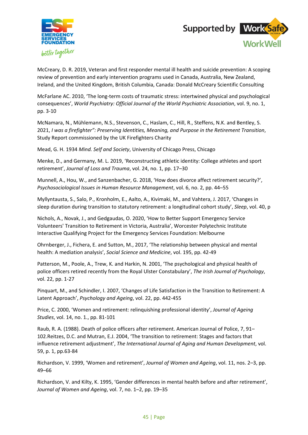



McCreary, D. R. 2019, Veteran and first responder mental ill health and suicide prevention: A scoping review of prevention and early intervention programs used in Canada, Australia, New Zealand, Ireland, and the United Kingdom, British Columbia, Canada: Donald McCreary Scientific Consulting

McFarlane AC. 2010, 'The long‐term costs of traumatic stress: intertwined physical and psychological consequences', *World Psychiatry: Official Journal of the World Psychiatric Association*, vol. 9, no. 1, pp. 3‐10

McNamara, N., Mühlemann, N.S., Stevenson, C., Haslam, C., Hill, R., Steffens, N.K. and Bentley, S. 2021, *I was a firefighter": Preserving Identities, Meaning, and Purpose in the Retirement Transition*, Study Report commissioned by the UK Firefighters Charity

Mead, G. H. 1934 *Mind. Self and Society*, University of Chicago Press, Chicago

Menke, D., and Germany, M. L. 2019, 'Reconstructing athletic identity: College athletes and sport retirement', *Journal of Loss and Trauma*, vol. 24, no. 1, pp. 17–30

Munnell, A., Hou, W., and Sanzenbacher, G. 2018, 'How does divorce affect retirement security?', *Psychosociological Issues in Human Resource Management*, vol. 6, no. 2, pp. 44–55

Myllyntausta, S., Salo, P., Kronholm, E., Aalto, A., Kivimaki, M., and Vahtera, J. 2017, 'Changes in sleep duration during transition to statutory retirement: a longitudinal cohort study', *Sleep*, vol. 40, p

Nichols, A., Novak, J., and Gedgaudas, O. 2020, 'How to Better Support Emergency Service Volunteers' Transition to Retirement in Victoria, Australia', Worcester Polytechnic Institute Interactive Qualifying Project for the Emergency Services Foundation: Melbourne

Ohrnberger, J., Fichera, E. and Sutton, M., 2017, 'The relationship between physical and mental health: A mediation analysis', *Social Science and Medicine*, vol. 195, pp. 42‐49

Patterson, M., Poole, A., Trew, K. and Harkin, N. 2001, 'The psychological and physical health of police officers retired recently from the Royal Ulster Constabulary', *The Irish Journal of Psychology*, vol. 22, pp. 1‐27

Pinquart, M., and Schindler, I. 2007, 'Changes of Life Satisfaction in the Transition to Retirement: A Latent Approach', *Psychology and Ageing*, vol. 22, pp. 442‐455

Price, C. 2000, 'Women and retirement: relinquishing professional identity', *Journal of Ageing Studies*, vol. 14, no. 1., pp. 81‐101

Raub, R. A. (1988). Death of police officers after retirement. American Journal of Police, 7, 91– 102.Reitzes, D.C. and Mutran, E.J. 2004, 'The transition to retirement: Stages and factors that influence retirement adjustment', *The International Journal of Aging and Human Development*, vol. 59, p. 1, pp.63‐84

Richardson, V. 1999, 'Women and retirement', *Journal of Women and Ageing*, vol. 11, nos. 2–3, pp. 49–66

Richardson, V. and Kilty, K. 1995, 'Gender differences in mental health before and after retirement', *Journal of Women and Ageing*, vol. 7, no. 1–2, pp. 19–35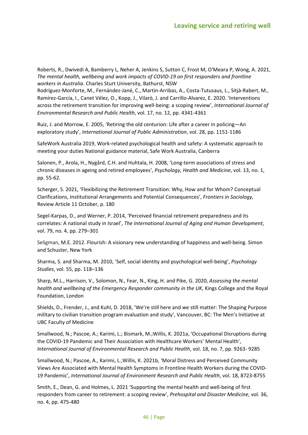Roberts, R., Dwivedi A, Bamberry L, Neher A, Jenkins S, Sutton C, Frost M, O'Meara P, Wong, A. 2021, *The mental health, wellbeing and work impacts of COVID‐19 on first responders and frontline workers in Australia*. Charles Sturt University, Bathurst, NSW

Rodríguez‐Monforte, M., Fernández‐Jané, C., Martin‐Arribas, A., Costa‐Tutusaus, L., Sitjà‐Rabert, M., Ramírez‐García, I., Canet Vélez, O., Kopp, J., Vilaró, J. and Carrillo‐Alvarez, E. 2020. 'Interventions across the retirement transition for improving well‐being: a scoping review', *International Journal of Environmental Research and Public Health*, vol. 17, no. 12, pp. 4341‐4361

Ruiz, J. and Morrow, E. 2005, 'Retiring the old centurion: Life after a career in policing—An exploratory study', *International Journal of Public Administration*, vol. 28, pp. 1151‐1186

SafeWork Australia 2019, Work‐related psychological health and safety: A systematic approach to meeting your duties National guidance material, Safe Work Australia, Canberra

Salonen, P., Arola, H., Nygård, C.H. and Huhtala, H. 2008, 'Long‐term associations of stress and chronic diseases in ageing and retired employees', *Psychology, Health and Medicine*, vol. 13, no. 1, pp. 55‐62.

Scherger, S. 2021, 'Flexibilizing the Retirement Transition: Why, How and for Whom? Conceptual Clarifications, Institutional Arrangements and Potential Consequences', *Frontiers in Sociology,* Review Article 11 October, p. 180

Segel‐Karpas, D., and Werner, P. 2014, 'Perceived financial retirement preparedness and its correlates: A national study in Israel', *The International Journal of Aging and Human Development*, vol. 79, no. 4, pp. 279–301

Seligman, M.E. 2012. Flourish: A visionary new understanding of happiness and well-being. Simon and Schuster, New York

Sharma, S. and Sharma, M. 2010, 'Self, social identity and psychological well‐being', *Psychology Studies*, vol. 55, pp. 118–136

Sharp, M.L., Harrison, V., Solomon, N., Fear, N., King, H. and Pike, G. 2020, *Assessing the mental health and wellbeing of the Emergency Responder community in the UK*, Kings College and the Royal Foundation, London

Shields, D., Frender, J., and Kuhl, D. 2018, 'We're still here and we still matter: The Shaping Purpose military to civilian transition program evaluation and study', Vancouver, BC: The Men's Initiative at UBC Faculty of Medicine

Smallwood, N.; Pascoe, A.; Karimi, L.; Bismark, M.;Willis, K. 2021a, 'Occupational Disruptions during the COVID‐19 Pandemic and Their Association with Healthcare Workers' Mental Health', *International Journal of Environmental Research and Public Health*, vol. 18, no. 7, pp. 9263‐ 9285

Smallwood, N.; Pascoe, A., Karimi, L.;Willis, K. 2021b, 'Moral Distress and Perceived Community Views Are Associated with Mental Health Symptoms in Frontline Health Workers during the COVID‐ 19 Pandemic', *International Journal of Environment Research and Public Health*, vol. 18, 8723‐8755

Smith, E., Dean, G. and Holmes, L. 2021 'Supporting the mental health and well-being of first responders from career to retirement: a scoping review', *Prehospital and Disaster Medicine*, vol. 36, no. 4, pp. 475‐480